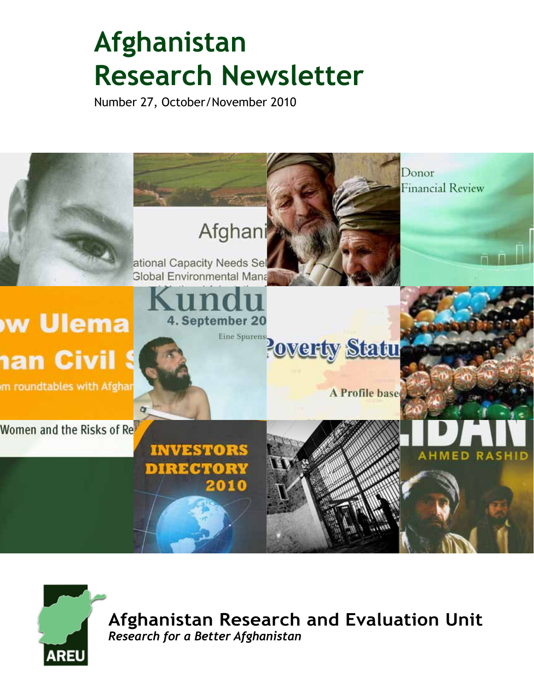# **Afghanistan Research Newsletter**

Number 27, October/November 2010





**Afghanistan Research and Evaluation Unit** *Research for a Better Afghanistan*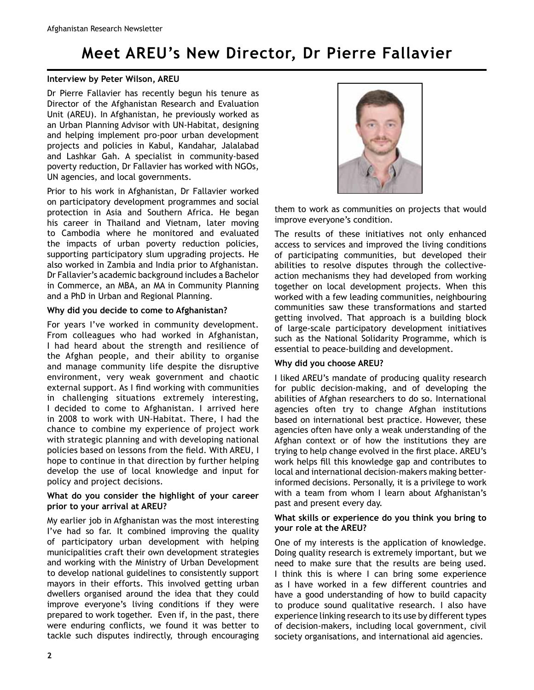# **Meet AREU's New Director, Dr Pierre Fallavier**

### **Interview by Peter Wilson, AREU**

Dr Pierre Fallavier has recently begun his tenure as Director of the Afghanistan Research and Evaluation Unit (AREU). In Afghanistan, he previously worked as an Urban Planning Advisor with UN-Habitat, designing and helping implement pro-poor urban development projects and policies in Kabul, Kandahar, Jalalabad and Lashkar Gah. A specialist in community-based poverty reduction, Dr Fallavier has worked with NGOs, UN agencies, and local governments.

Prior to his work in Afghanistan, Dr Fallavier worked on participatory development programmes and social protection in Asia and Southern Africa. He began his career in Thailand and Vietnam, later moving to Cambodia where he monitored and evaluated the impacts of urban poverty reduction policies, supporting participatory slum upgrading projects. He also worked in Zambia and India prior to Afghanistan. Dr Fallavier's academic background includes a Bachelor in Commerce, an MBA, an MA in Community Planning and a PhD in Urban and Regional Planning.

### **Why did you decide to come to Afghanistan?**

For years I've worked in community development. From colleagues who had worked in Afghanistan, I had heard about the strength and resilience of the Afghan people, and their ability to organise and manage community life despite the disruptive environment, very weak government and chaotic external support. As I find working with communities in challenging situations extremely interesting, I decided to come to Afghanistan. I arrived here in 2008 to work with UN-Habitat. There, I had the chance to combine my experience of project work with strategic planning and with developing national policies based on lessons from the field. With AREU, I hope to continue in that direction by further helping develop the use of local knowledge and input for policy and project decisions.

### **What do you consider the highlight of your career prior to your arrival at AREU?**

My earlier job in Afghanistan was the most interesting I've had so far. It combined improving the quality of participatory urban development with helping municipalities craft their own development strategies and working with the Ministry of Urban Development to develop national guidelines to consistently support mayors in their efforts. This involved getting urban dwellers organised around the idea that they could improve everyone's living conditions if they were prepared to work together. Even if, in the past, there were enduring conflicts, we found it was better to tackle such disputes indirectly, through encouraging



them to work as communities on projects that would improve everyone's condition.

The results of these initiatives not only enhanced access to services and improved the living conditions of participating communities, but developed their abilities to resolve disputes through the collectiveaction mechanisms they had developed from working together on local development projects. When this worked with a few leading communities, neighbouring communities saw these transformations and started getting involved. That approach is a building block of large-scale participatory development initiatives such as the National Solidarity Programme, which is essential to peace-building and development.

### **Why did you choose AREU?**

I liked AREU's mandate of producing quality research for public decision-making, and of developing the abilities of Afghan researchers to do so. International agencies often try to change Afghan institutions based on international best practice. However, these agencies often have only a weak understanding of the Afghan context or of how the institutions they are trying to help change evolved in the first place. AREU's work helps fill this knowledge gap and contributes to local and international decision-makers making betterinformed decisions. Personally, it is a privilege to work with a team from whom I learn about Afghanistan's past and present every day.

#### **What skills or experience do you think you bring to your role at the AREU?**

One of my interests is the application of knowledge. Doing quality research is extremely important, but we need to make sure that the results are being used. I think this is where I can bring some experience as I have worked in a few different countries and have a good understanding of how to build capacity to produce sound qualitative research. I also have experience linking research to its use by different types of decision-makers, including local government, civil society organisations, and international aid agencies.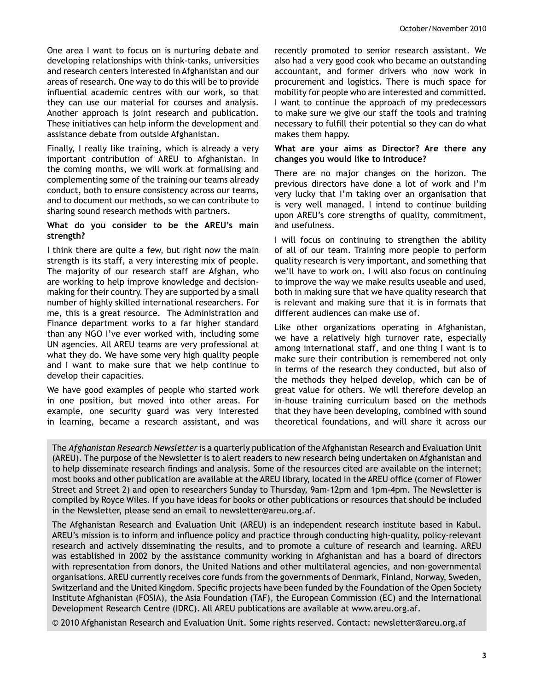One area I want to focus on is nurturing debate and developing relationships with think-tanks, universities and research centers interested in Afghanistan and our areas of research. One way to do this will be to provide influential academic centres with our work, so that they can use our material for courses and analysis. Another approach is joint research and publication. These initiatives can help inform the development and assistance debate from outside Afghanistan.

Finally, I really like training, which is already a very important contribution of AREU to Afghanistan. In the coming months, we will work at formalising and complementing some of the training our teams already conduct, both to ensure consistency across our teams, and to document our methods, so we can contribute to sharing sound research methods with partners.

#### **What do you consider to be the AREU's main strength?**

I think there are quite a few, but right now the main strength is its staff, a very interesting mix of people. The majority of our research staff are Afghan, who are working to help improve knowledge and decisionmaking for their country. They are supported by a small number of highly skilled international researchers. For me, this is a great resource. The Administration and Finance department works to a far higher standard than any NGO I've ever worked with, including some UN agencies. All AREU teams are very professional at what they do. We have some very high quality people and I want to make sure that we help continue to develop their capacities.

We have good examples of people who started work in one position, but moved into other areas. For example, one security guard was very interested in learning, became a research assistant, and was

recently promoted to senior research assistant. We also had a very good cook who became an outstanding accountant, and former drivers who now work in procurement and logistics. There is much space for mobility for people who are interested and committed. I want to continue the approach of my predecessors to make sure we give our staff the tools and training necessary to fulfill their potential so they can do what makes them happy.

#### **What are your aims as Director? Are there any changes you would like to introduce?**

There are no major changes on the horizon. The previous directors have done a lot of work and I'm very lucky that I'm taking over an organisation that is very well managed. I intend to continue building upon AREU's core strengths of quality, commitment, and usefulness.

I will focus on continuing to strengthen the ability of all of our team. Training more people to perform quality research is very important, and something that we'll have to work on. I will also focus on continuing to improve the way we make results useable and used, both in making sure that we have quality research that is relevant and making sure that it is in formats that different audiences can make use of.

Like other organizations operating in Afghanistan, we have a relatively high turnover rate, especially among international staff, and one thing I want is to make sure their contribution is remembered not only in terms of the research they conducted, but also of the methods they helped develop, which can be of great value for others. We will therefore develop an in-house training curriculum based on the methods that they have been developing, combined with sound theoretical foundations, and will share it across our

The *Afghanistan Research Newsletter* is a quarterly publication of the Afghanistan Research and Evaluation Unit (AREU). The purpose of the Newsletter is to alert readers to new research being undertaken on Afghanistan and to help disseminate research findings and analysis. Some of the resources cited are available on the internet; most books and other publication are available at the AREU library, located in the AREU office (corner of Flower Street and Street 2) and open to researchers Sunday to Thursday, 9am-12pm and 1pm-4pm. The Newsletter is compiled by Royce Wiles. If you have ideas for books or other publications or resources that should be included in the Newsletter, please send an email to newsletter@areu.org.af.

The Afghanistan Research and Evaluation Unit (AREU) is an independent research institute based in Kabul. AREU's mission is to inform and influence policy and practice through conducting high-quality, policy-relevant research and actively disseminating the results, and to promote a culture of research and learning. AREU was established in 2002 by the assistance community working in Afghanistan and has a board of directors with representation from donors, the United Nations and other multilateral agencies, and non-governmental organisations. AREU currently receives core funds from the governments of Denmark, Finland, Norway, Sweden, Switzerland and the United Kingdom. Specific projects have been funded by the Foundation of the Open Society Institute Afghanistan (FOSIA), the Asia Foundation (TAF), the European Commission (EC) and the International Development Research Centre (IDRC). All AREU publications are available at www.areu.org.af.

© 2010 Afghanistan Research and Evaluation Unit. Some rights reserved. Contact: newsletter@areu.org.af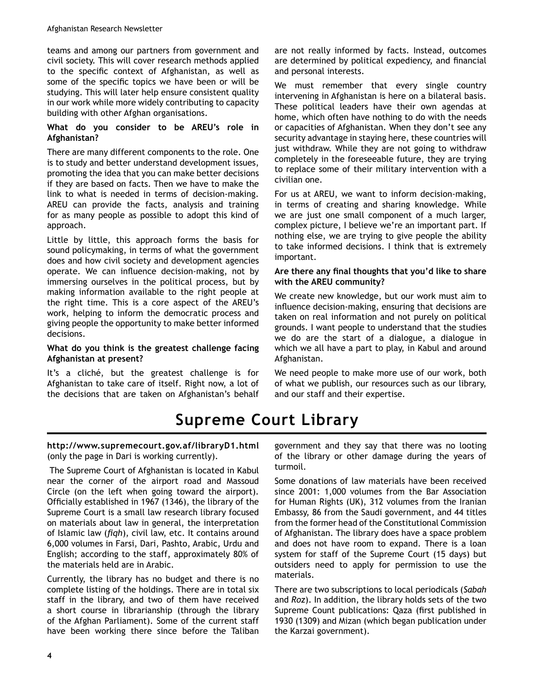teams and among our partners from government and civil society. This will cover research methods applied to the specific context of Afghanistan, as well as some of the specific topics we have been or will be studying. This will later help ensure consistent quality in our work while more widely contributing to capacity building with other Afghan organisations.

### **What do you consider to be AREU's role in Afghanistan?**

There are many different components to the role. One is to study and better understand development issues, promoting the idea that you can make better decisions if they are based on facts. Then we have to make the link to what is needed in terms of decision-making. AREU can provide the facts, analysis and training for as many people as possible to adopt this kind of approach.

Little by little, this approach forms the basis for sound policymaking, in terms of what the government does and how civil society and development agencies operate. We can influence decision-making, not by immersing ourselves in the political process, but by making information available to the right people at the right time. This is a core aspect of the AREU's work, helping to inform the democratic process and giving people the opportunity to make better informed decisions.

### **What do you think is the greatest challenge facing Afghanistan at present?**

It's a cliché, but the greatest challenge is for Afghanistan to take care of itself. Right now, a lot of the decisions that are taken on Afghanistan's behalf are not really informed by facts. Instead, outcomes are determined by political expediency, and financial and personal interests.

We must remember that every single country intervening in Afghanistan is here on a bilateral basis. These political leaders have their own agendas at home, which often have nothing to do with the needs or capacities of Afghanistan. When they don't see any security advantage in staying here, these countries will just withdraw. While they are not going to withdraw completely in the foreseeable future, they are trying to replace some of their military intervention with a civilian one.

For us at AREU, we want to inform decision-making, in terms of creating and sharing knowledge. While we are just one small component of a much larger, complex picture, I believe we're an important part. If nothing else, we are trying to give people the ability to take informed decisions. I think that is extremely important.

### Are there any final thoughts that you'd like to share **with the AREU community?**

We create new knowledge, but our work must aim to influence decision-making, ensuring that decisions are taken on real information and not purely on political grounds. I want people to understand that the studies we do are the start of a dialogue, a dialogue in which we all have a part to play, in Kabul and around Afghanistan.

We need people to make more use of our work, both of what we publish, our resources such as our library, and our staff and their expertise.

# **Supreme Court Library**

### **http://www.supremecourt.gov.af/libraryD1.html** (only the page in Dari is working currently).

 The Supreme Court of Afghanistan is located in Kabul near the corner of the airport road and Massoud Circle (on the left when going toward the airport). Officially established in 1967 (1346), the library of the Supreme Court is a small law research library focused on materials about law in general, the interpretation of Islamic law (*figh*), civil law, etc. It contains around 6,000 volumes in Farsi, Dari, Pashto, Arabic, Urdu and English; according to the staff, approximately 80% of the materials held are in Arabic.

Currently, the library has no budget and there is no complete listing of the holdings. There are in total six staff in the library, and two of them have received a short course in librarianship (through the library of the Afghan Parliament). Some of the current staff have been working there since before the Taliban

government and they say that there was no looting of the library or other damage during the years of turmoil.

Some donations of law materials have been received since 2001: 1,000 volumes from the Bar Association for Human Rights (UK), 312 volumes from the Iranian Embassy, 86 from the Saudi government, and 44 titles from the former head of the Constitutional Commission of Afghanistan. The library does have a space problem and does not have room to expand. There is a loan system for staff of the Supreme Court (15 days) but outsiders need to apply for permission to use the materials.

There are two subscriptions to local periodicals (*Sabah* and *Roz*). In addition, the library holds sets of the two Supreme Count publications: Qaza (first published in 1930 (1309) and Mizan (which began publication under the Karzai government).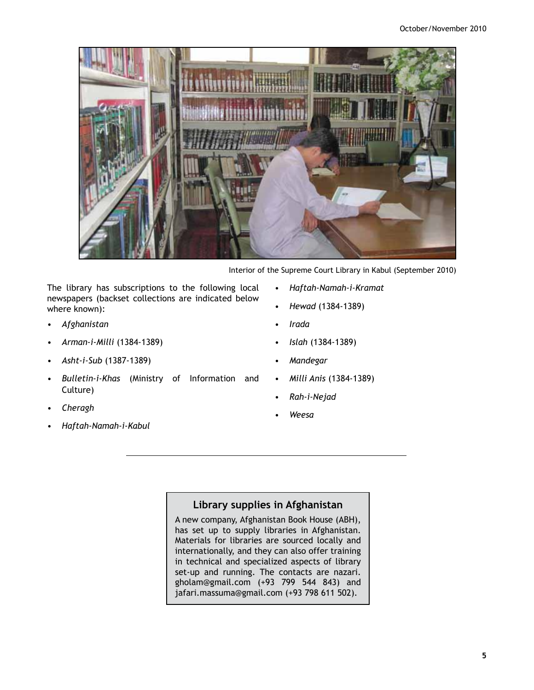

Interior of the Supreme Court Library in Kabul (September 2010)

The library has subscriptions to the following local newspapers (backset collections are indicated below where known):

- *Afghanistan*
- Arman-i-Milli (1384-1389)
- Asht-i-Sub (1387-1389)
- Bulletin-i-Khas (Ministry of Information and Culture)
- *Cheragh*
- *Haftah7Namah7i7Kabul*
- **•** Haftah-Namah-i-Kramat
- *Hewad*
- *Irada*
- *Islah*
- *Mandegar*
- *Milli Anis*
- *Rah7i7Nejad*
- *Weesa*

### **Library supplies in Afghanistan**

A new company, Afghanistan Book House (ABH), has set up to supply libraries in Afghanistan. Materials for libraries are sourced locally and internationally, and they can also offer training in technical and specialized aspects of library set-up and running. The contacts are nazari. gholam@gmail.com  $(+93$  799 544 843) and jafari.massuma@gmail.com (+93 798 611 502).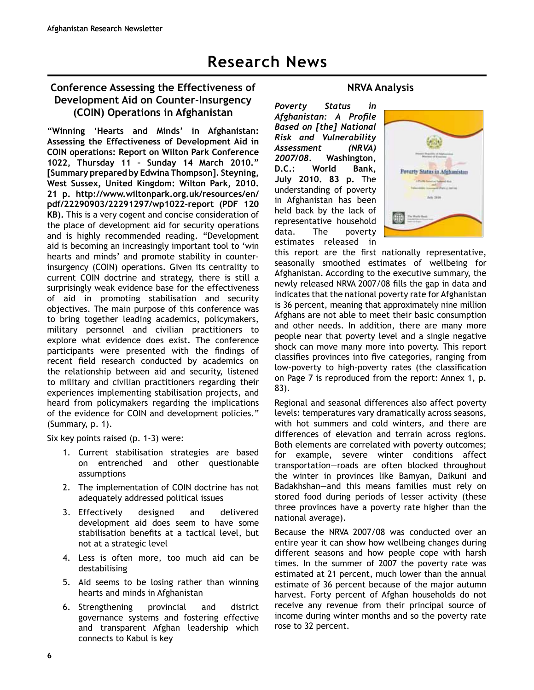### **Conference Assessing the Effectiveness of Development Aid on Counter-Insurgency (COIN) Operations in Afghanistan**

**"Winning 'Hearts and Minds' in Afghanistan: Assessing the Effectiveness of Development Aid in COIN operations: Report on Wilton Park Conference 1022, Thursday 11 – Sunday 14 March 2010." [Summary prepared by Edwina Thompson]. Steyning, West Sussex, United Kingdom: Wilton Park, 2010. 21 p. http://www.wiltonpark.org.uk/resources/en/** pdf/22290903/22291297/wp1022-report (PDF 120 **KB).** This is a very cogent and concise consideration of the place of development aid for security operations and is highly recommended reading. "Development aid is becoming an increasingly important tool to 'win hearts and minds' and promote stability in counterinsurgency (COIN) operations. Given its centrality to current COIN doctrine and strategy, there is still a surprisingly weak evidence base for the effectiveness of aid in promoting stabilisation and security objectives. The main purpose of this conference was to bring together leading academics, policymakers, military personnel and civilian practitioners to explore what evidence does exist. The conference participants were presented with the findings of recent field research conducted by academics on the relationship between aid and security, listened to military and civilian practitioners regarding their experiences implementing stabilisation projects, and heard from policymakers regarding the implications of the evidence for COIN and development policies." (Summary, p. 1).

Six key points raised (p. 1-3) were:

- 1. Current stabilisation strategies are based on entrenched and other questionable assumptions
- 2. The implementation of COIN doctrine has not adequately addressed political issues
- Effectively designed and delivered development aid does seem to have some stabilisation benefits at a tactical level, but not at a strategic level
- 4. Less is often more, too much aid can be destabilising
- 5. Aid seems to be losing rather than winning hearts and minds in Afghanistan
- 6. Strengthening provincial and district governance systems and fostering effective and transparent Afghan leadership which connects to Kabul is key

### **NRVA Analysis**

*Poverty Status in Afghanistan: A Profile* **Based on [the] National Risk and Vulnerability** *Assessment (NRVA) 2007/08.* **Washington, D.C.: World Bank, July 2010. 83 p.** The understanding of poverty in Afghanistan has been held back by the lack of representative household data. The poverty estimates released in



this report are the first nationally representative, seasonally smoothed estimates of wellbeing for Afghanistan. According to the executive summary, the newly released NRVA 2007/08 fills the gap in data and indicates that the national poverty rate for Afghanistan is 36 percent, meaning that approximately nine million Afghans are not able to meet their basic consumption and other needs. In addition, there are many more people near that poverty level and a single negative shock can move many more into poverty. This report classifies provinces into five categories, ranging from low-poverty to high-poverty rates (the classification on Page 7 is reproduced from the report: Annex 1, p.  $83$ ).

Regional and seasonal differences also affect poverty levels: temperatures vary dramatically across seasons, with hot summers and cold winters, and there are differences of elevation and terrain across regions. Both elements are correlated with poverty outcomes; for example, severe winter conditions affect transportation—roads are often blocked throughout the winter in provinces like Bamyan, Daikuni and Badakhshan—and this means families must rely on stored food during periods of lesser activity (these three provinces have a poverty rate higher than the national average).

Because the NRVA 2007/08 was conducted over an entire year it can show how wellbeing changes during different seasons and how people cope with harsh times. In the summer of 2007 the poverty rate was estimated at 21 percent, much lower than the annual estimate of 36 percent because of the major autumn harvest. Forty percent of Afghan households do not receive any revenue from their principal source of income during winter months and so the poverty rate rose to 32 percent.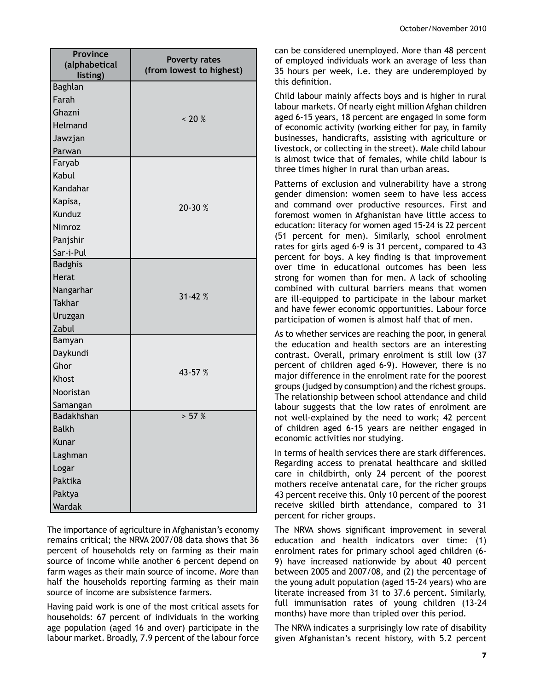| <b>Province</b><br>(alphabetical | <b>Poverty rates</b><br>(from lowest to highest) |
|----------------------------------|--------------------------------------------------|
| listing)                         |                                                  |
| Baghlan                          |                                                  |
| Farah                            |                                                  |
| Ghazni                           | $~10\%$                                          |
| Helmand                          |                                                  |
| Jawzjan                          |                                                  |
| Parwan                           |                                                  |
| Faryab                           |                                                  |
| Kabul                            |                                                  |
| Kandahar                         |                                                  |
| Kapisa,                          | 20-30 %                                          |
| Kunduz                           |                                                  |
| Nimroz                           |                                                  |
| Panjshir                         |                                                  |
| Sar-i-Pul                        |                                                  |
| <b>Badghis</b>                   |                                                  |
| <b>Herat</b>                     |                                                  |
| Nangarhar                        | $31 - 42%$                                       |
| <b>Takhar</b>                    |                                                  |
| Uruzgan                          |                                                  |
| Zabul                            |                                                  |
| Bamyan                           |                                                  |
| Daykundi                         |                                                  |
| Ghor                             | 43-57 %                                          |
| Khost                            |                                                  |
| Nooristan                        |                                                  |
| Samangan                         |                                                  |
| Badakhshan                       | > 57 %                                           |
| <b>Balkh</b>                     |                                                  |
| Kunar                            |                                                  |
| Laghman                          |                                                  |
| Logar                            |                                                  |
| Paktika                          |                                                  |
| Paktya                           |                                                  |
| Wardak                           |                                                  |

The importance of agriculture in Afghanistan's economy remains critical; the NRVA 2007/08 data shows that 36 percent of households rely on farming as their main source of income while another 6 percent depend on farm wages as their main source of income. More than half the households reporting farming as their main source of income are subsistence farmers.

Having paid work is one of the most critical assets for households: 67 percent of individuals in the working age population (aged 16 and over) participate in the labour market. Broadly, 7.9 percent of the labour force

can be considered unemployed. More than 48 percent of employed individuals work an average of less than 35 hours per week, i.e. they are underemployed by this definition.

Child labour mainly affects boys and is higher in rural labour markets. Of nearly eight million Afghan children aged 6-15 years, 18 percent are engaged in some form of economic activity (working either for pay, in family businesses, handicrafts, assisting with agriculture or livestock, or collecting in the street). Male child labour is almost twice that of females, while child labour is three times higher in rural than urban areas.

Patterns of exclusion and vulnerability have a strong gender dimension: women seem to have less access and command over productive resources. First and foremost women in Afghanistan have little access to education: literacy for women aged 15-24 is 22 percent (51 percent for men). Similarly, school enrolment rates for girls aged 6-9 is 31 percent, compared to 43 percent for boys. A key finding is that improvement over time in educational outcomes has been less strong for women than for men. A lack of schooling combined with cultural barriers means that women are ill-equipped to participate in the labour market and have fewer economic opportunities. Labour force participation of women is almost half that of men.

As to whether services are reaching the poor, in general the education and health sectors are an interesting contrast. Overall, primary enrolment is still low (37 percent of children aged 6-9). However, there is no major difference in the enrolment rate for the poorest groups (judged by consumption) and the richest groups. The relationship between school attendance and child labour suggests that the low rates of enrolment are not well-explained by the need to work; 42 percent of children aged 6-15 years are neither engaged in economic activities nor studying.

In terms of health services there are stark differences. Regarding access to prenatal healthcare and skilled care in childbirth, only 24 percent of the poorest mothers receive antenatal care, for the richer groups 43 percent receive this. Only 10 percent of the poorest receive skilled birth attendance, compared to 31 percent for richer groups.

The NRVA shows significant improvement in several education and health indicators over time: (1) enrolment rates for primary school aged children (6-9) have increased nationwide by about 40 percent between 2005 and 2007/08, and (2) the percentage of the young adult population (aged 15-24 years) who are literate increased from 31 to 37.6 percent. Similarly, full immunisation rates of young children (13-24 months) have more than tripled over this period.

The NRVA indicates a surprisingly low rate of disability given Afghanistan's recent history, with 5.2 percent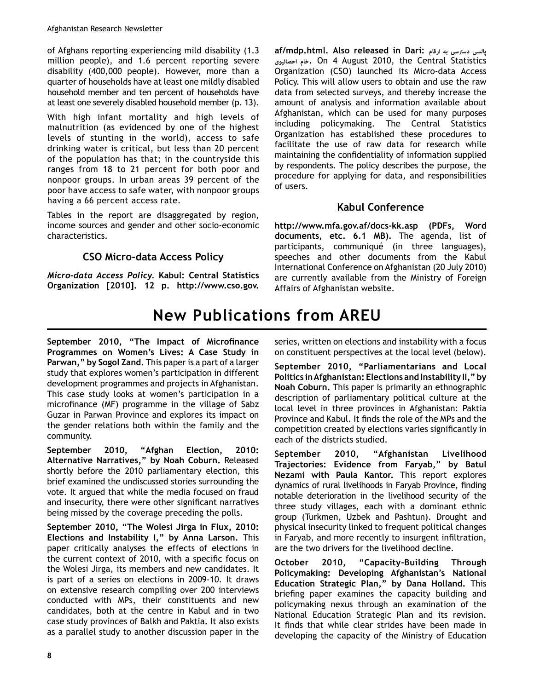of Afghans reporting experiencing mild disability (1.3) million people), and 1.6 percent reporting severe disability (400,000 people). However, more than a quarter of households have at least one mildly disabled household member and ten percent of households have at least one severely disabled household member (p. 13).

With high infant mortality and high levels of malnutrition (as evidenced by one of the highest levels of stunting in the world), access to safe drinking water is critical, but less than 20 percent of the population has that; in the countryside this ranges from 18 to 21 percent for both poor and nonpoor groups. In urban areas 39 percent of the poor have access to safe water, with nonpoor groups having a 66 percent access rate.

Tables in the report are disaggregated by region, income sources and gender and other socio-economic characteristics.

## **CSO Micro-data Access Policy**

*Micro-data Access Policy. Kabul: Central Statistics* **Organization [2010]. 12 p. http://www.cso.gov.** **af/mdp.html. Also released in Dari: ارقام به دسترسی پالسی احصائیوی خام.** On 4 August 2010, the Central Statistics Organization (CSO) launched its Micro-data Access Policy. This will allow users to obtain and use the raw data from selected surveys, and thereby increase the amount of analysis and information available about Afghanistan, which can be used for many purposes including policymaking. The Central Statistics Organization has established these procedures to facilitate the use of raw data for research while maintaining the confidentiality of information supplied by respondents. The policy describes the purpose, the procedure for applying for data, and responsibilities of users.

### **Kabul Conference**

http://www.mfa.gov.af/docs-kk.asp (PDFs, Word **documents, etc. 6.1 MB).** The agenda, list of participants, communiqué (in three languages), speeches and other documents from the Kabul International Conference on Afghanistan (20 July 2010) are currently available from the Ministry of Foreign Affairs of Afghanistan website.

# **New Publications from AREU**

September 2010, "The Impact of Microfinance **Programmes on Women's Lives: A Case Study in Parwan," by Sogol Zand.** This paper is a part of a larger study that explores women's participation in different development programmes and projects in Afghanistan. This case study looks at women's participation in a microfinance (MF) programme in the village of Sabz Guzar in Parwan Province and explores its impact on the gender relations both within the family and the community.

**September 2010, "Afghan Election, 2010: Alternative Narratives," by Noah Coburn.** Released shortly before the 2010 parliamentary election, this brief examined the undiscussed stories surrounding the vote. It argued that while the media focused on fraud and insecurity, there were other significant narratives being missed by the coverage preceding the polls.

**September 2010, "The Wolesi Jirga in Flux, 2010: Elections and Instability I," by Anna Larson.** This paper critically analyses the effects of elections in the current context of 2010, with a specific focus on the Wolesi Jirga, its members and new candidates. It is part of a series on elections in 2009-10. It draws on extensive research compiling over 200 interviews conducted with MPs, their constituents and new candidates, both at the centre in Kabul and in two case study provinces of Balkh and Paktia. It also exists as a parallel study to another discussion paper in the series, written on elections and instability with a focus on constituent perspectives at the local level (below).

**September 2010, "Parliamentarians and Local Politics in Afghanistan: Elections and Instability II," by Noah Coburn.** This paper is primarily an ethnographic description of parliamentary political culture at the local level in three provinces in Afghanistan: Paktia Province and Kabul. It finds the role of the MPs and the competition created by elections varies significantly in each of the districts studied.

**September 2010, "Afghanistan Livelihood Trajectories: Evidence from Faryab," by Batul Nezami with Paula Kantor.** This report explores dynamics of rural livelihoods in Faryab Province, finding notable deterioration in the livelihood security of the three study villages, each with a dominant ethnic group (Turkmen, Uzbek and Pashtun). Drought and physical insecurity linked to frequent political changes in Faryab, and more recently to insurgent infiltration, are the two drivers for the livelihood decline.

**October 2010, "Capacity-Building Through Policymaking: Developing Afghanistan's National Education Strategic Plan," by Dana Holland.** This briefing paper examines the capacity building and policymaking nexus through an examination of the National Education Strategic Plan and its revision. It finds that while clear strides have been made in developing the capacity of the Ministry of Education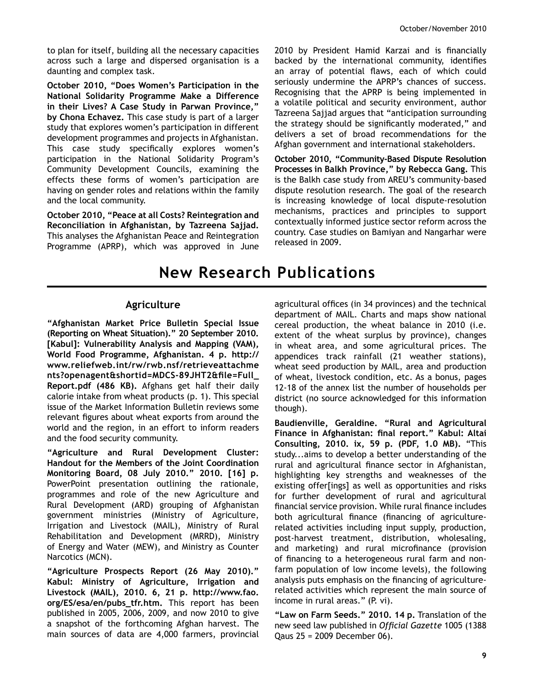to plan for itself, building all the necessary capacities across such a large and dispersed organisation is a daunting and complex task.

**October 2010, "Does Women's Participation in the National Solidarity Programme Make a Difference in their Lives? A Case Study in Parwan Province," by Chona Echavez.** This case study is part of a larger study that explores women's participation in different development programmes and projects in Afghanistan. This case study specifically explores women's participation in the National Solidarity Program's Community Development Councils, examining the effects these forms of women's participation are having on gender roles and relations within the family and the local community.

**October 2010, "Peace at all Costs? Reintegration and Reconciliation in Afghanistan, by Tazreena Sajjad.**  This analyses the Afghanistan Peace and Reintegration Programme (APRP), which was approved in June 2010 by President Hamid Karzai and is financially backed by the international community, identifies an array of potential flaws, each of which could seriously undermine the APRP's chances of success. Recognising that the APRP is being implemented in a volatile political and security environment, author Tazreena Sajjad argues that "anticipation surrounding the strategy should be significantly moderated," and delivers a set of broad recommendations for the Afghan government and international stakeholders.

**October 2010, "Community-Based Dispute Resolution Processes in Balkh Province," by Rebecca Gang.** This is the Balkh case study from AREU's community-based dispute resolution research. The goal of the research is increasing knowledge of local dispute-resolution mechanisms, practices and principles to support contextually informed justice sector reform across the country. Case studies on Bamiyan and Nangarhar were released in 2009.

# **New Research Publications**

### **Agriculture**

**"Afghanistan Market Price Bulletin Special Issue (Reporting on Wheat Situation)." 20 September 2010. [Kabul]: Vulnerability Analysis and Mapping (VAM), World Food Programme, Afghanistan. 4 p. http:// www.reliefweb.int/rw/rwb.nsf/retrieveattachme** nts?openagent&shortid=MDCS-89JHT2&file=Full **Report.pdf (486 KB).** Afghans get half their daily calorie intake from wheat products (p. 1). This special issue of the Market Information Bulletin reviews some relevant figures about wheat exports from around the world and the region, in an effort to inform readers and the food security community.

**"Agriculture and Rural Development Cluster: Handout for the Members of the Joint Coordination Monitoring Board, 08 July 2010." 2010. [16] p.** PowerPoint presentation outlining the rationale, programmes and role of the new Agriculture and Rural Development (ARD) grouping of Afghanistan government ministries (Ministry of Agriculture, Irrigation and Livestock (MAIL), Ministry of Rural Rehabilitation and Development (MRRD), Ministry of Energy and Water (MEW), and Ministry as Counter Narcotics (MCN).

**"Agriculture Prospects Report (26 May 2010)." Kabul: Ministry of Agriculture, Irrigation and Livestock (MAIL), 2010. 6, 21 p. http://www.fao.** org/ES/esa/en/pubs\_tfr.htm. This report has been published in 2005, 2006, 2009, and now 2010 to give a snapshot of the forthcoming Afghan harvest. The main sources of data are 4,000 farmers, provincial agricultural offices (in 34 provinces) and the technical department of MAIL. Charts and maps show national cereal production, the wheat balance in 2010 (i.e. extent of the wheat surplus by province), changes in wheat area, and some agricultural prices. The appendices track rainfall (21 weather stations), wheat seed production by MAIL, area and production of wheat, livestock condition, etc. As a bonus, pages 12-18 of the annex list the number of households per district (no source acknowledged for this information though).

**Baudienville, Geraldine. "Rural and Agricultural**  Finance in Afghanistan: final report." Kabul: Altai **Consulting, 2010. ix, 59 p. (PDF, 1.0 MB).** "This study...aims to develop a better understanding of the rural and agricultural finance sector in Afghanistan, highlighting key strengths and weaknesses of the existing offer[ings] as well as opportunities and risks for further development of rural and agricultural financial service provision. While rural finance includes both agricultural finance (financing of agriculturerelated activities including input supply, production, post-harvest treatment, distribution, wholesaling, and marketing) and rural microfinance (provision of financing to a heterogeneous rural farm and nonfarm population of low income levels), the following analysis puts emphasis on the financing of agriculturerelated activities which represent the main source of income in rural areas." (P. vi).

**"Law on Farm Seeds." 2010. 14 p.** Translation of the new seed law published in *Official Gazette* 1005 (1388) Qaus  $25 = 2009$  December 06).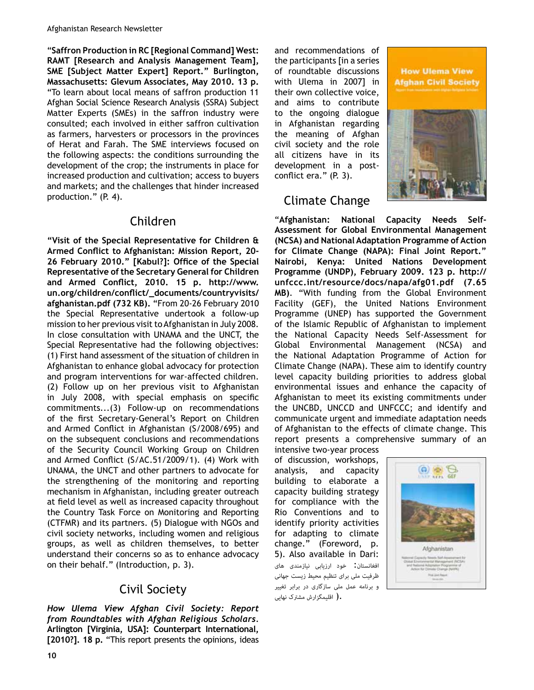"**Saffron Production in RC [Regional Command] West: RAMT [Research and Analysis Management Team], SME [Subject Matter Expert] Report." Burlington, Massachusetts: Glevum Associates, May 2010. 13 p.** "To learn about local means of saffron production 11 Afghan Social Science Research Analysis (SSRA) Subject Matter Experts (SMEs) in the saffron industry were consulted; each involved in either saffron cultivation as farmers, harvesters or processors in the provinces of Herat and Farah. The SME interviews focused on the following aspects: the conditions surrounding the development of the crop; the instruments in place for increased production and cultivation; access to buyers and markets; and the challenges that hinder increased production." (P. 4).

# Children

**"Visit of the Special Representative for Children &**  Armed Conflict to Afghanistan: Mission Report, 20-26 February 2010." [Kabul?]: Office of the Special **Representative of the Secretary General for Children**  and Armed Conflict, 2010. 15 p. http://www. un.org/children/conflict/\_documents/countryvisits/ afghanistan.pdf (732 KB). "From 20-26 February 2010 the Special Representative undertook a follow-up mission to her previous visit to Afghanistan in July 2008. In close consultation with UNAMA and the UNCT, the Special Representative had the following objectives: (1) First hand assessment of the situation of children in Afghanistan to enhance global advocacy for protection and program interventions for war-affected children. (2) Follow up on her previous visit to Afghanistan in July 2008, with special emphasis on specific  $commitments...$  (3) Follow-up on recommendations of the first Secretary-General's Report on Children and Armed Conflict in Afghanistan (S/2008/695) and on the subsequent conclusions and recommendations of the Security Council Working Group on Children and Armed Conflict (S/AC.51/2009/1). (4) Work with UNAMA, the UNCT and other partners to advocate for the strengthening of the monitoring and reporting mechanism in Afghanistan, including greater outreach at field level as well as increased capacity throughout the Country Task Force on Monitoring and Reporting (CTFMR) and its partners. (5) Dialogue with NGOs and civil society networks, including women and religious groups, as well as children themselves, to better understand their concerns so as to enhance advocacy on their behalf." (Introduction, p. 3).

# Civil Society

How Ulema View Afghan Civil Society: Report *from Roundtables with Afghan Religious Scholars.* **Arlington [Virginia, USA]: Counterpart International, [2010?]. 18 p.** "This report presents the opinions, ideas

and recommendations of the participants [in a series of roundtable discussions with Ulema in 2007] in their own collective voice, and aims to contribute to the ongoing dialogue in Afghanistan regarding the meaning of Afghan civil society and the role all citizens have in its development in a postconflict era."  $(P. 3)$ .

# Climate Change



"Afghanistan: National Capacity Needs Self-**Assessment for Global Environmental Management (NCSA) and National Adaptation Programme of Action for Climate Change (NAPA): Final Joint Report." Nairobi, Kenya: United Nations Development Programme (UNDP), February 2009. 123 p. http:// unfccc.int/resource/docs/napa/afg01.pdf (7.65 MB).** "With funding from the Global Environment Facility (GEF), the United Nations Environment Programme (UNEP) has supported the Government of the Islamic Republic of Afghanistan to implement the National Capacity Needs Self-Assessment for Global Environmental Management (NCSA) and the National Adaptation Programme of Action for Climate Change (NAPA). These aim to identify country level capacity building priorities to address global environmental issues and enhance the capacity of Afghanistan to meet its existing commitments under the UNCBD, UNCCD and UNFCCC; and identify and communicate urgent and immediate adaptation needs of Afghanistan to the effects of climate change. This report presents a comprehensive summary of an

intensive two-year process of discussion, workshops, analysis, and capacity building to elaborate a capacity building strategy for compliance with the Rio Conventions and to identify priority activities for adapting to climate change." (Foreword, p. 5). Also available in Dari: افغانستان: خود ارزیابی نیازمندی های ظرفیت ملی برای تنظیم محیط زیست جهانی و برنامه عمل ملی سازگاری در برابر تغییر .( اقلیمگزارش مشترک نهایی

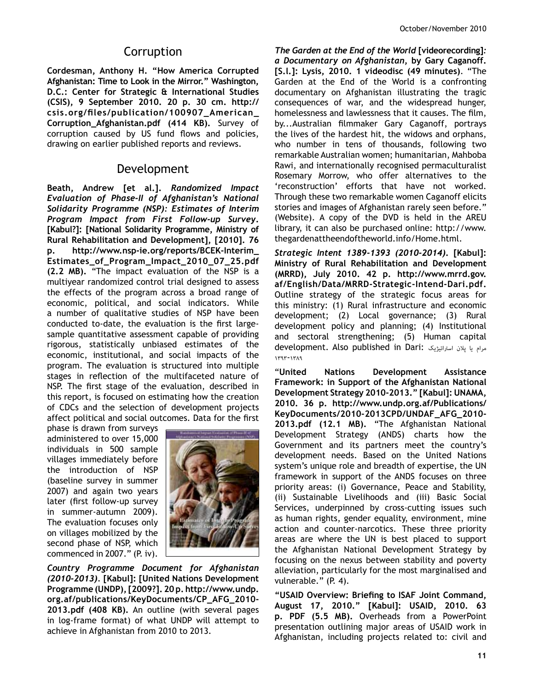### **Corruption**

**Cordesman, Anthony H. "How America Corrupted Afghanistan: Time to Look in the Mirror." Washington, D.C.: Center for Strategic & International Studies (CSIS), 9 September 2010. 20 p. 30 cm. http://**  $\textsf{csis.org/files/publication/100907}\_\textsf{American}\_\textsf{on}$ **Corruption\_Afghanistan.pdf (414 KB).** Survey of corruption caused by US fund flows and policies, drawing on earlier published reports and reviews.

### Development

Beath, Andrew [et al.]. Randomized Impact Evaluation of Phase-II of Afghanistan's National *Solidarity Programme (NSP): Estimates of Interim Program Impact from First Follow-up Survey.* **[Kabul?]: [National Solidarity Programme, Ministry of Rural Rehabilitation and Development], [2010]. 76**  p. http://www.nsp-ie.org/reports/BCEK-Interim Estimates\_of\_Program\_Impact\_2010\_07\_25.pdf **(2.2 MB).** "The impact evaluation of the NSP is a multiyear randomized control trial designed to assess the effects of the program across a broad range of economic, political, and social indicators. While a number of qualitative studies of NSP have been conducted to-date, the evaluation is the first largesample quantitative assessment capable of providing rigorous, statistically unbiased estimates of the economic, institutional, and social impacts of the program. The evaluation is structured into multiple stages in reflection of the multifaceted nature of NSP. The first stage of the evaluation, described in this report, is focused on estimating how the creation of CDCs and the selection of development projects affect political and social outcomes. Data for the first

phase is drawn from surveys administered to over 15,000 individuals in 500 sample villages immediately before the introduction of NSP (baseline survey in summer 2007) and again two years later (first follow-up survey in summer-autumn 2009). The evaluation focuses only on villages mobilized by the second phase of NSP, which commenced in 2007." (P. iv).



Country Programme Document for Afghanistan *(2010B2013).* **[Kabul]: [United Nations Development Programme (UNDP), [2009?]. 20 p. http://www.undp.** org.af/publications/KeyDocuments/CP\_AFG\_2010-**2013.pdf (408 KB).** An outline (with several pages in log-frame format) of what UNDP will attempt to achieve in Afghanistan from 2010 to 2013.

*The Garden at the End of the World [videorecording]:* a Documentary on Afghanistan, by Gary Caganoff. **[S.l.]: Lysis, 2010. 1 videodisc (49 minutes)**. "The Garden at the End of the World is a confronting documentary on Afghanistan illustrating the tragic consequences of war, and the widespread hunger, homelessness and lawlessness that it causes. The film, by...Australian filmmaker Gary Caganoff, portrays the lives of the hardest hit, the widows and orphans, who number in tens of thousands, following two remarkable Australian women; humanitarian, Mahboba Rawi, and internationally recognised permaculturalist Rosemary Morrow, who offer alternatives to the 'reconstruction' efforts that have not worked. Through these two remarkable women Caganoff elicits stories and images of Afghanistan rarely seen before." (Website). A copy of the DVD is held in the AREU library, it can also be purchased online: http://www. thegardenattheendoftheworld.info/Home.html.

*Strategic Intent 1389B1393 (2010B2014)***. [Kabul]: Ministry of Rural Rehabilitation and Development (MRRD), July 2010. 42 p. http://www.mrrd.gov.** af/English/Data/MRRD-Strategic-Intend-Dari.pdf. Outline strategy of the strategic focus areas for this ministry: (1) Rural infrastructure and economic development; (2) Local governance; (3) Rural development policy and planning; (4) Institutional and sectoral strengthening; (5) Human capital development. Also published in Dari: استراتیژیک پلان یا مرام  $1191 - 11719$ 

"**United Nations Development Assistance Framework: in Support of the Afghanistan National**  Development Strategy 2010-2013." [Kabul]: UNAMA, **2010. 36 p. http://www.undp.org.af/Publications/** KeyDocuments/2010-2013CPD/UNDAF\_AFG\_2010-**2013.pdf (12.1 MB).** "The Afghanistan National Development Strategy (ANDS) charts how the Government and its partners meet the country's development needs. Based on the United Nations system's unique role and breadth of expertise, the UN framework in support of the ANDS focuses on three priority areas: (i) Governance, Peace and Stability, (ii) Sustainable Livelihoods and (iii) Basic Social Services, underpinned by cross-cutting issues such as human rights, gender equality, environment, mine action and counter-narcotics. These three priority areas are where the UN is best placed to support the Afghanistan National Development Strategy by focusing on the nexus between stability and poverty alleviation, particularly for the most marginalised and vulnerable." (P. 4).

"USAID Overview: Briefing to ISAF Joint Command, **August 17, 2010." [Kabul]: USAID, 2010. 63 p. PDF (5.5 MB).** Overheads from a PowerPoint presentation outlining major areas of USAID work in Afghanistan, including projects related to: civil and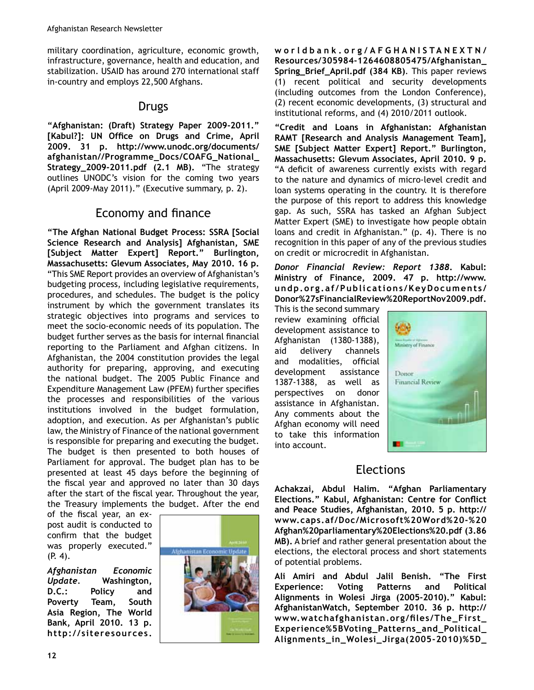military coordination, agriculture, economic growth, infrastructure, governance, health and education, and stabilization. USAID has around 270 international staff in-country and employs 22,500 Afghans.

## Drugs

"Afghanistan: (Draft) Strategy Paper 2009-2011." [Kabul?]: UN Office on Drugs and Crime, April **2009. 31 p. http://www.unodc.org/documents/**  $afghanistan//Programme\_Docs/COAFG_National$ **Strategy\_2009-2011.pdf (2.1 MB).** "The strategy outlines UNODC's vision for the coming two years (April 2009-May 2011)." (Executive summary, p. 2).

# Economy and finance

**"The Afghan National Budget Process: SSRA [Social Science Research and Analysis] Afghanistan, SME [Subject Matter Expert] Report." Burlington, Massachusetts: Glevum Associates, May 2010. 16 p.** "This SME Report provides an overview of Afghanistan's budgeting process, including legislative requirements, procedures, and schedules. The budget is the policy instrument by which the government translates its strategic objectives into programs and services to meet the socio-economic needs of its population. The budget further serves as the basis for internal financial reporting to the Parliament and Afghan citizens. In Afghanistan, the 2004 constitution provides the legal authority for preparing, approving, and executing the national budget. The 2005 Public Finance and Expenditure Management Law (PFEM) further specifies the processes and responsibilities of the various institutions involved in the budget formulation, adoption, and execution. As per Afghanistan's public law, the Ministry of Finance of the national government is responsible for preparing and executing the budget. The budget is then presented to both houses of Parliament for approval. The budget plan has to be presented at least 45 days before the beginning of the fiscal year and approved no later than 30 days after the start of the fiscal year. Throughout the year, the Treasury implements the budget. After the end

of the fiscal year, an expost audit is conducted to confirm that the budget was properly executed." (P. 4).

*Afghanistan Economic Bodate.* Washington, **D.C.: Policy and Poverty Team, South Asia Region, The World Bank, April 2010. 13 p. http://siteresources.**



**worldbank.org/AFGHANISTANEXTN/** Resources/305984-1264608805475/Afghanistan Spring\_Brief\_April.pdf (384 KB). This paper reviews (1) recent political and security developments (including outcomes from the London Conference),  $(2)$  recent economic developments,  $(3)$  structural and institutional reforms, and (4) 2010/2011 outlook.

**"Credit and Loans in Afghanistan: Afghanistan RAMT [Research and Analysis Management Team], SME [Subject Matter Expert] Report." Burlington, Massachusetts: Glevum Associates, April 2010. 9 p.** "A deficit of awareness currently exists with regard to the nature and dynamics of micro-level credit and loan systems operating in the country. It is therefore the purpose of this report to address this knowledge gap. As such, SSRA has tasked an Afghan Subject Matter Expert (SME) to investigate how people obtain loans and credit in Afghanistan." (p. 4). There is no recognition in this paper of any of the previous studies on credit or microcredit in Afghanistan.

*Donor Financial Review: Report 1388. Kabul:* **Ministry of Finance, 2009. 47 p. http://www. undp.org.af/Publications/KeyDocuments/ Donor%27sFinancialReview%20ReportNov2009.pdf.** 

This is the second summary review examining official development assistance to Afghanistan (1380-1388), aid delivery channels and modalities, official development assistance 1387-1388, as well as perspectives on donor assistance in Afghanistan. Any comments about the Afghan economy will need to take this information into account.



# Elections

**Achakzai, Abdul Halim. "Afghan Parliamentary**  Elections." Kabul, Afghanistan: Centre for Conflict **and Peace Studies, Afghanistan, 2010. 5 p. http://** www.caps.af/Doc/Microsoft%20Word%20-%20 **Afghan%20parliamentary%20Elections%20.pdf (3.86 MB).** A brief and rather general presentation about the elections, the electoral process and short statements of potential problems.

**Ali Amiri and Abdul Jalil Benish. "The First Experience: Voting Patterns and Political**  Alignments in Wolesi Jirga (2005-2010)." Kabul: **AfghanistanWatch, September 2010. 36 p. http://** www.watchafghanistan.org/files/The\_First\_ Experience%5BVoting\_Patterns\_and\_Political\_ Alignments\_in\_Wolesi\_Jirga(2005-2010)%5D\_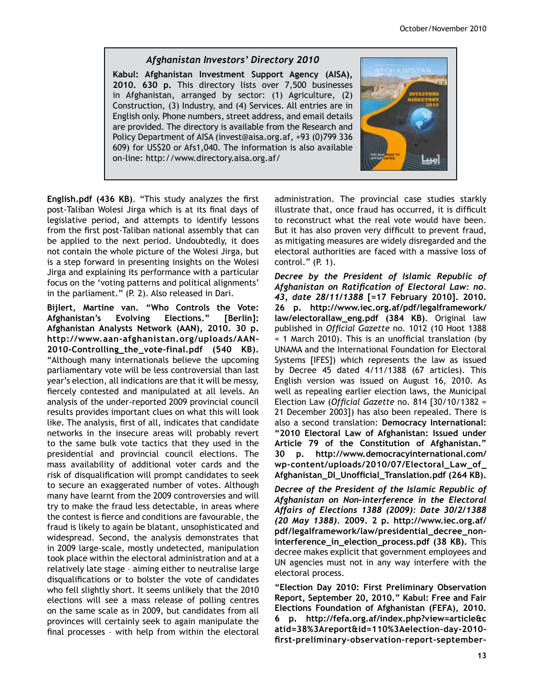### Afghanistan Investors' Directory 2010

**Kabul: Afghanistan Investment Support Agency (AISA), 2010. 630 p.** This directory lists over 7,500 businesses in Afghanistan, arranged by sector: (1) Agriculture, (2) Construction, (3) Industry, and (4) Services. All entries are in English only. Phone numbers, street address, and email details are provided. The directory is available from the Research and Policy Department of AISA (invest@aisa.org.af, +93 (0)799 336 609) for US\$20 or Afs1,040. The information is also available on-line: http://www.directory.aisa.org.af/



**English.pdf (436 KB).** "This study analyzes the first post-Taliban Wolesi Jirga which is at its final days of legislative period, and attempts to identify lessons from the first post-Taliban national assembly that can be applied to the next period. Undoubtedly, it does not contain the whole picture of the Wolesi Jirga, but is a step forward in presenting insights on the Wolesi Jirga and explaining its performance with a particular focus on the 'voting patterns and political alignments' in the parliament." (P. 2). Also released in Dari.

**Bijlert, Martine van. "Who Controls the Vote: Afghanistan's Evolving Elections." [Berlin]: Afghanistan Analysts Network (AAN), 2010. 30 p.**  http://www.aan-afghanistan.org/uploads/AAN-2010-Controlling\_the\_vote-final.pdf (540 KB). "Although many internationals believe the upcoming parliamentary vote will be less controversial than last year's election, all indications are that it will be messy, fiercely contested and manipulated at all levels. An analysis of the under-reported 2009 provincial council results provides important clues on what this will look like. The analysis, first of all, indicates that candidate networks in the insecure areas will probably revert to the same bulk vote tactics that they used in the presidential and provincial council elections. The mass availability of additional voter cards and the risk of disqualification will prompt candidates to seek to secure an exaggerated number of votes. Although many have learnt from the 2009 controversies and will try to make the fraud less detectable, in areas where the contest is fierce and conditions are favourable, the fraud is likely to again be blatant, unsophisticated and widespread. Second, the analysis demonstrates that in 2009 large-scale, mostly undetected, manipulation took place within the electoral administration and at a relatively late stage – aiming either to neutralise large disqualifications or to bolster the vote of candidates who fell slightly short. It seems unlikely that the 2010 elections will see a mass release of polling centres on the same scale as in 2009, but candidates from all provinces will certainly seek to again manipulate the final processes - with help from within the electoral administration. The provincial case studies starkly illustrate that, once fraud has occurred, it is difficult to reconstruct what the real vote would have been. But it has also proven very difficult to prevent fraud, as mitigating measures are widely disregarded and the electoral authorities are faced with a massive loss of control." (P. 1).

Decree by the President of Islamic Republic of Afghanistan on Ratification of Electoral Law: no. *43, date 28/11/1388* **[=17 February 2010]. 2010. 26 p. http://www.iec.org.af/pdf/legalframework/** law/electorallaw\_eng.pdf (384 KB). Original law published in *Official Gazette* no. 1012 (10 Hoot 1388  $=$  1 March 2010). This is an unofficial translation (by UNAMA and the International Foundation for Electoral Systems [IFES]) which represents the law as issued by Decree 45 dated  $4/11/1388$  (67 articles). This English version was issued on August 16, 2010. As well as repealing earlier election laws, the Municipal Election Law (*Official Gazette* no. 814 [30/10/1382 = 21 December 2003]) has also been repealed. There is also a second translation: **Democracy International: "2010 Electoral Law of Afghanistan: Issued under Article 79 of the Constitution of Afghanistan." 30 p. http://www.democracyinternational.com/**  $wp\text{-}content-uploads/2010/07/Electoral\_Law_of$  $\Lambda$ fghanistan\_DI\_Unofficial\_Translation.pdf (264 KB).

**Decree of the President of the Islamic Republic of** Afghanistan on Non-interference in the Electoral Affairs of Elections 1388 (2009): Date 30/2/1388 *(20 May 1388).* **2009. 2 p. http://www.iec.org.af/** pdf/legalframework/law/presidential\_decree\_noninterference\_in\_election\_process.pdf (38 KB). This decree makes explicit that government employees and UN agencies must not in any way interfere with the electoral process.

**"Election Day 2010: First Preliminary Observation Report, September 20, 2010." Kabul: Free and Fair Elections Foundation of Afghanistan (FEFA), 2010. 6 p. http://fefa.org.af/index.php?view=article&c** atid=38%3Areport&id=110%3Aelection-day-2010first-preliminary-observation-report-september-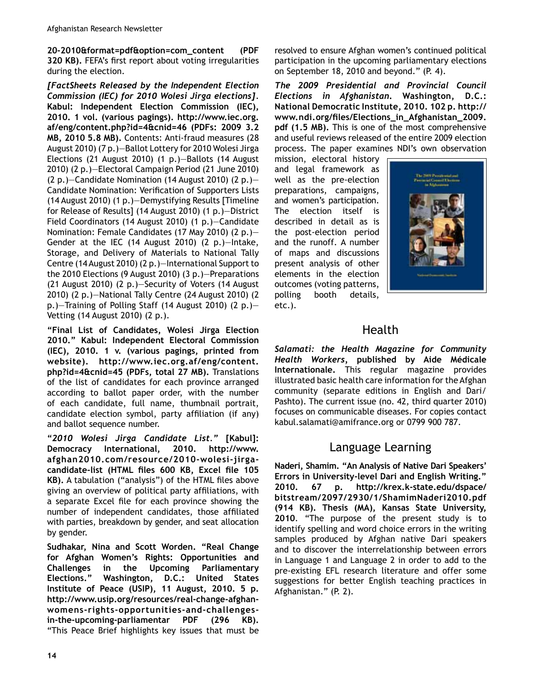20-2010&format=pdf&option=com\_content (PDF **320 KB).** FEFA's first report about voting irregularities during the election.

*[FactSheets Released by the Independent Election Commission (IEC) for 2010 Wolesi Jirga elections].* **Kabul: Independent Election Commission (IEC), 2010. 1 vol. (various pagings). http://www.iec.org. af/eng/content.php?id=4&cnid=46 (PDFs: 2009 3.2 MB, 2010 5.8 MB).** Contents: Anti-fraud measures (28 August 2010) (7 p.)-Ballot Lottery for 2010 Wolesi Jirga Elections (21 August 2010) (1 p.)—Ballots (14 August 2010) (2 p.)—Electoral Campaign Period (21 June 2010) (2 p.)–Candidate Nomination (14 August 2010) (2 p.)– Candidate Nomination: Verification of Supporters Lists (14 August 2010) (1 p.)—Demystifying Results [Timeline for Release of Results] (14 August 2010) (1 p.)—District Field Coordinators (14 August 2010) (1 p.)—Candidate Nomination: Female Candidates (17 May 2010) (2 p.)— Gender at the IEC (14 August 2010) (2 p.)—Intake, Storage, and Delivery of Materials to National Tally Centre (14 August 2010) (2 p.)—International Support to the 2010 Elections (9 August 2010) (3 p.)-Preparations (21 August 2010) (2 p.)—Security of Voters (14 August 2010) (2 p.)—National Tally Centre (24 August 2010) (2 p.)–Training of Polling Staff (14 August 2010) (2 p.)– Vetting (14 August 2010) (2 p.).

**"Final List of Candidates, Wolesi Jirga Election 2010." Kabul: Independent Electoral Commission (IEC), 2010. 1 v. (various pagings, printed from website). http://www.iec.org.af/eng/content. php?id=4&cnid=45 (PDFs, total 27 MB).** Translations of the list of candidates for each province arranged according to ballot paper order, with the number of each candidate, full name, thumbnail portrait, candidate election symbol, party affiliation (if any) and ballot sequence number.

"2010 Wolesi Jirga Candidate List." [Kabul]: **Democracy International, 2010. http://www.** afghan2010.com/resource/2010-wolesi-jirgacandidate-list (HTML files 600 KB, Excel file 105 **KB).** A tabulation ("analysis") of the HTML files above giving an overview of political party affiliations, with a separate Excel file for each province showing the number of independent candidates, those affiliated with parties, breakdown by gender, and seat allocation by gender.

**Sudhakar, Nina and Scott Worden. "Real Change for Afghan Women's Rights: Opportunities and Challenges in the Upcoming Parliamentary Elections." Washington, D.C.: United States Institute of Peace (USIP), 11 August, 2010. 5 p.**  http://www.usip.org/resources/real-change-afghanwomens-rights-opportunities-and-challengesin-the-upcoming-parliamentar PDF (296 KB). "This Peace Brief highlights key issues that must be resolved to ensure Afghan women's continued political participation in the upcoming parliamentary elections on September 18, 2010 and beyond." (P. 4).

The 2009 Presidential and Provincial Council *Elections in Afghanistan. Washington, D.C.:* **National Democratic Institute, 2010. 102 p. http://** www.ndi.org/files/Elections\_in\_Afghanistan\_2009. **pdf (1.5 MB).** This is one of the most comprehensive and useful reviews released of the entire 2009 election process. The paper examines NDI's own observation

mission, electoral history and legal framework as well as the pre-election preparations, campaigns, and women's participation. The election itself is described in detail as is the post-election period and the runoff. A number of maps and discussions present analysis of other elements in the election outcomes (voting patterns, polling booth details, etc.).



# Health

Salamati: the Health Magazine for Community **Health Workers, published by Aide Médicale Internationale.** This regular magazine provides illustrated basic health care information for the Afghan community (separate editions in English and Dari/ Pashto). The current issue (no. 42, third quarter 2010) focuses on communicable diseases. For copies contact kabul.salamati@amifrance.org or 0799 900 787.

# Language Learning

**Naderi, Shamim. "An Analysis of Native Dari Speakers' Errors in University-level Dari and English Writing."** 2010. 67 p. http://krex.k-state.edu/dspace/ **bitstream/2097/2930/1/ShamimNaderi2010.pdf (914 KB). Thesis (MA), Kansas State University, 2010**. "The purpose of the present study is to identify spelling and word choice errors in the writing samples produced by Afghan native Dari speakers and to discover the interrelationship between errors in Language 1 and Language 2 in order to add to the pre-existing EFL research literature and offer some suggestions for better English teaching practices in Afghanistan." (P. 2).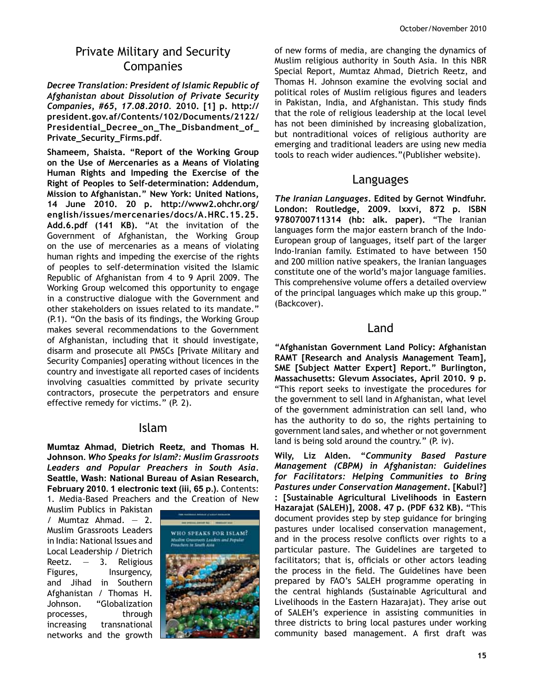# Private Military and Security Companies

Decree Translation: President of Islamic Republic of Afghanistan about Dissolution of Private Security *&RPSDQLHV*  **2010. [1] p. http:// president.gov.af/Contents/102/Documents/2122/** Presidential\_Decree\_on\_The\_Disbandment\_of\_ Private\_Security\_Firms.pdf.

**Shameem, Shaista. "Report of the Working Group on the Use of Mercenaries as a Means of Violating Human Rights and Impeding the Exercise of the**  Right of Peoples to Self-determination: Addendum, **Mission to Afghanistan." New York: United Nations, 14 June 2010. 20 p. http://www2.ohchr.org/ english/issues/mercenaries/docs/A.HRC.15.25. Add.6.pdf (141 KB).** "At the invitation of the Government of Afghanistan, the Working Group on the use of mercenaries as a means of violating human rights and impeding the exercise of the rights of peoples to self-determination visited the Islamic Republic of Afghanistan from 4 to 9 April 2009. The Working Group welcomed this opportunity to engage in a constructive dialogue with the Government and other stakeholders on issues related to its mandate." (P.1). "On the basis of its findings, the Working Group makes several recommendations to the Government of Afghanistan, including that it should investigate, disarm and prosecute all PMSCs [Private Military and Security Companies] operating without licences in the country and investigate all reported cases of incidents involving casualties committed by private security contractors, prosecute the perpetrators and ensure effective remedy for victims." (P. 2).

### Islam

Mumtaz Ahmad, Dietrich Reetz, and Thomas H. Johnson. Who Speaks for Islam?: Muslim Grassroots Leaders and Popular Preachers in South Asia. Seattle, Wash: National Bureau of Asian Research, **February 2010. 1 electronic text (iii, 65 p.).** Contents: 1. Media-Based Preachers and the Creation of New

Muslim Publics in Pakistan / Mumtaz Ahmad. — 2. Muslim Grassroots Leaders in India: National Issues and Local Leadership / Dietrich Reetz.  $-3$ . Religious Figures, Insurgency, and Jihad in Southern Afghanistan / Thomas H. Johnson. "Globalization processes, through increasing transnational networks and the growth



of new forms of media, are changing the dynamics of Muslim religious authority in South Asia. In this NBR Special Report, Mumtaz Ahmad, Dietrich Reetz, and Thomas H. Johnson examine the evolving social and political roles of Muslim religious figures and leaders in Pakistan, India, and Afghanistan. This study finds that the role of religious leadership at the local level has not been diminished by increasing globalization, but nontraditional voices of religious authority are emerging and traditional leaders are using new media tools to reach wider audiences."(Publisher website).

### Languages

*The Iranian Languages. Edited by Gernot Windfuhr.* **London: Routledge, 2009. lxxvi, 872 p. ISBN 9780700711314 (hb: alk. paper).** "The Iranian languages form the major eastern branch of the Indo-European group of languages, itself part of the larger Indo-Iranian family. Estimated to have between 150 and 200 million native speakers, the Iranian languages constitute one of the world's major language families. This comprehensive volume offers a detailed overview of the principal languages which make up this group." (Backcover).

### Land

**"Afghanistan Government Land Policy: Afghanistan RAMT [Research and Analysis Management Team], SME [Subject Matter Expert] Report." Burlington, Massachusetts: Glevum Associates, April 2010. 9 p.**  "This report seeks to investigate the procedures for the government to sell land in Afghanistan, what level of the government administration can sell land, who has the authority to do so, the rights pertaining to government land sales, and whether or not government land is being sold around the country." (P. iv).

Wily, Liz Alden. "Community Based Pasture *Management (CBPM) in Afghanistan: Guidelines for Facilitators: Helping Communities to Bring Pastures under Conservation Management.* [Kabul?] **: [Sustainable Agricultural Livelihoods in Eastern Hazarajat (SALEH)], 2008. 47 p. (PDF 632 KB).** "This document provides step by step guidance for bringing pastures under localised conservation management, and in the process resolve conflicts over rights to a particular pasture. The Guidelines are targeted to facilitators; that is, officials or other actors leading the process in the field. The Guidelines have been prepared by FAO's SALEH programme operating in the central highlands (Sustainable Agricultural and Livelihoods in the Eastern Hazarajat). They arise out of SALEH's experience in assisting communities in three districts to bring local pastures under working community based management. A first draft was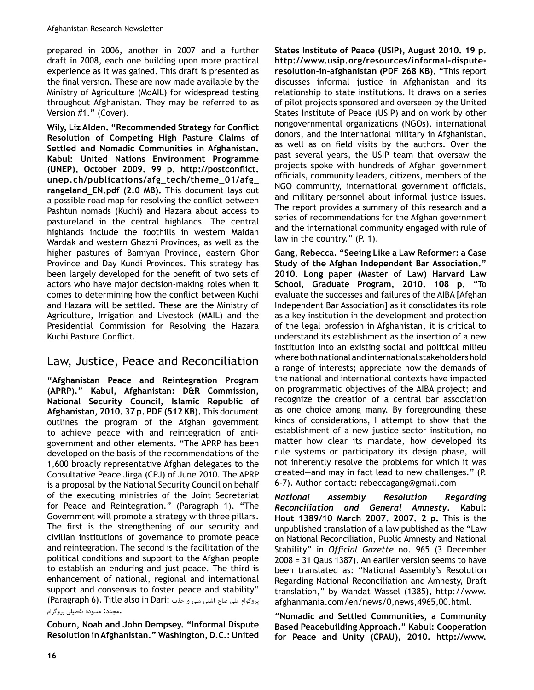prepared in 2006, another in 2007 and a further draft in 2008, each one building upon more practical experience as it was gained. This draft is presented as the final version. These are now made available by the Ministry of Agriculture (MoAIL) for widespread testing throughout Afghanistan. They may be referred to as Version #1." (Cover).

Wily, Liz Alden. "Recommended Strategy for Conflict **Resolution of Competing High Pasture Claims of Settled and Nomadic Communities in Afghanistan. Kabul: United Nations Environment Programme**  (UNEP), October 2009. 99 p. http://postconflict. unep.ch/publications/afg\_tech/theme\_01/afg\_ rangeland\_EN.pdf (2.0 MB). This document lays out a possible road map for resolving the conflict between Pashtun nomads (Kuchi) and Hazara about access to pastureland in the central highlands. The central highlands include the foothills in western Maidan Wardak and western Ghazni Provinces, as well as the higher pastures of Bamiyan Province, eastern Ghor Province and Day Kundi Provinces. This strategy has been largely developed for the benefit of two sets of actors who have major decision-making roles when it comes to determining how the conflict between Kuchi and Hazara will be settled. These are the Ministry of Agriculture, Irrigation and Livestock (MAIL) and the Presidential Commission for Resolving the Hazara Kuchi Pasture Conflict.

# Law, Justice, Peace and Reconciliation

**"Afghanistan Peace and Reintegration Program (APRP)." Kabul, Afghanistan: D&R Commission, National Security Council, Islamic Republic of Afghanistan, 2010. 37 p. PDF (512 KB).** This document outlines the program of the Afghan government to achieve peace with and reintegration of antigovernment and other elements. "The APRP has been developed on the basis of the recommendations of the 1,600 broadly representative Afghan delegates to the Consultative Peace Jirga (CPJ) of June 2010. The APRP is a proposal by the National Security Council on behalf of the executing ministries of the Joint Secretariat for Peace and Reintegration." (Paragraph 1). "The Government will promote a strategy with three pillars. The first is the strengthening of our security and civilian institutions of governance to promote peace and reintegration. The second is the facilitation of the political conditions and support to the Afghan people to establish an enduring and just peace. The third is enhancement of national, regional and international support and consensus to foster peace and stability" پروگوام ملی صاح آشتی ملی و جذب :Paragraph 6). Title also in Dari) .مجدد: مسوده تفصیلی پروگرام

**Coburn, Noah and John Dempsey. "Informal Dispute Resolution in Afghanistan." Washington, D.C.: United**  **States Institute of Peace (USIP), August 2010. 19 p.**  http://www.usip.org/resources/informal-disputeresolution-in-afghanistan (PDF 268 KB). "This report discusses informal justice in Afghanistan and its relationship to state institutions. It draws on a series of pilot projects sponsored and overseen by the United States Institute of Peace (USIP) and on work by other nongovernmental organizations (NGOs), international donors, and the international military in Afghanistan, as well as on field visits by the authors. Over the past several years, the USIP team that oversaw the projects spoke with hundreds of Afghan government officials, community leaders, citizens, members of the NGO community, international government officials, and military personnel about informal justice issues. The report provides a summary of this research and a series of recommendations for the Afghan government and the international community engaged with rule of law in the country." (P. 1).

**Gang, Rebecca. "Seeing Like a Law Reformer: a Case Study of the Afghan Independent Bar Association." 2010. Long paper (Master of Law) Harvard Law School, Graduate Program, 2010. 108 p.** "To evaluate the successes and failures of the AIBA [Afghan Independent Bar Association] as it consolidates its role as a key institution in the development and protection of the legal profession in Afghanistan, it is critical to understand its establishment as the insertion of a new institution into an existing social and political milieu where both national and international stakeholders hold a range of interests; appreciate how the demands of the national and international contexts have impacted on programmatic objectives of the AIBA project; and recognize the creation of a central bar association as one choice among many. By foregrounding these kinds of considerations, I attempt to show that the establishment of a new justice sector institution, no matter how clear its mandate, how developed its rule systems or participatory its design phase, will not inherently resolve the problems for which it was created—and may in fact lead to new challenges." (P. 6-7). Author contact: rebeccagang@gmail.com

National Assembly Resolution Regarding *Reconciliation and General Amnesty*. Kabul: **Hout 1389/10 March 2007. 2007. 2 p.** This is the unpublished translation of a law published as the "Law on National Reconciliation, Public Amnesty and National Stability" in *Official Gazette* no. 965 (3 December  $2008 = 31$  Qaus 1387). An earlier version seems to have been translated as: "National Assembly's Resolution Regarding National Reconciliation and Amnesty, Draft translation," by Wahdat Wassel (1385), http://www. afghanmania.com/en/news/0,news,4965,00.html.

**"Nomadic and Settled Communities, a Community Based Peacebuilding Approach." Kabul: Cooperation for Peace and Unity (CPAU), 2010. http://www.**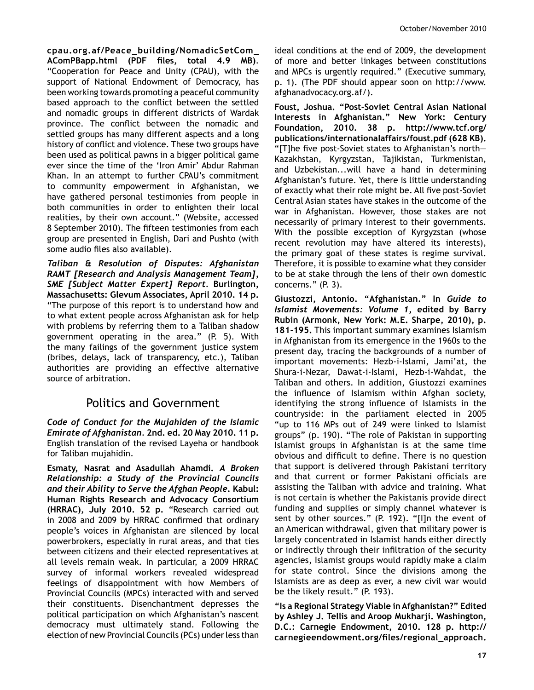$cpau.org.af/Peace_building/NomadicSetCom_$ AComPBapp.html (PDF files, total 4.9 MB). "Cooperation for Peace and Unity (CPAU), with the support of National Endowment of Democracy, has been working towards promoting a peaceful community based approach to the conflict between the settled and nomadic groups in different districts of Wardak province. The conflict between the nomadic and settled groups has many different aspects and a long history of conflict and violence. These two groups have been used as political pawns in a bigger political game ever since the time of the 'Iron Amir' Abdur Rahman Khan. In an attempt to further CPAU's commitment to community empowerment in Afghanistan, we have gathered personal testimonies from people in both communities in order to enlighten their local realities, by their own account." (Website, accessed 8 September 2010). The fifteen testimonies from each group are presented in English, Dari and Pushto (with some audio files also available).

*Taliban & Resolution of Disputes: Afghanistan RAMT* [Research and Analysis Management Team], *SME [Subject Matter Expert] Report. Burlington,* **Massachusetts: Glevum Associates, April 2010. 14 p.** "The purpose of this report is to understand how and to what extent people across Afghanistan ask for help with problems by referring them to a Taliban shadow government operating in the area."  $(P. 5)$ . With the many failings of the government justice system (bribes, delays, lack of transparency, etc.), Taliban authorities are providing an effective alternative source of arbitration.

# Politics and Government

Code of Conduct for the Mujahiden of the Islamic *Emirate of Afghanistan.* **2nd. ed. 20 May 2010. 11 p.** English translation of the revised Layeha or handbook for Taliban mujahidin.

**Esmaty, Nasrat and Asadullah Ahamdi.** *A Broken*  Relationship: a Study of the Provincial Councils *and their Ability to Serve the Afghan People. Kabul:* **Human Rights Research and Advocacy Consortium (HRRAC), July 2010. 52 p.** "Research carried out in 2008 and 2009 by HRRAC confirmed that ordinary people's voices in Afghanistan are silenced by local powerbrokers, especially in rural areas, and that ties between citizens and their elected representatives at all levels remain weak. In particular, a 2009 HRRAC survey of informal workers revealed widespread feelings of disappointment with how Members of Provincial Councils (MPCs) interacted with and served their constituents. Disenchantment depresses the political participation on which Afghanistan's nascent democracy must ultimately stand. Following the election of new Provincial Councils (PCs) under less than ideal conditions at the end of 2009, the development of more and better linkages between constitutions and MPCs is urgently required." (Executive summary, p. 1). (The PDF should appear soon on http://www. afghanadvocacy.org.af/).

Foust, Joshua. "Post-Soviet Central Asian National **Interests in Afghanistan." New York: Century Foundation, 2010. 38 p. http://www.tcf.org/ publications/internationalaffairs/foust.pdf (628 KB).**  "[T]he five post-Soviet states to Afghanistan's north-Kazakhstan, Kyrgyzstan, Tajikistan, Turkmenistan, and Uzbekistan...will have a hand in determining Afghanistan's future. Yet, there is little understanding of exactly what their role might be. All five post-Soviet Central Asian states have stakes in the outcome of the war in Afghanistan. However, those stakes are not necessarily of primary interest to their governments. With the possible exception of Kyrgyzstan (whose recent revolution may have altered its interests), the primary goal of these states is regime survival. Therefore, it is possible to examine what they consider to be at stake through the lens of their own domestic concerns."  $(P, 3)$ .

**Giustozzi, Antonio. "Afghanistan." In** *Guide to Islamist Movements: Volume 1*, edited by Barry **Rubin (Armonk, New York: M.E. Sharpe, 2010), p.**  181-195. This important summary examines Islamism in Afghanistan from its emergence in the 1960s to the present day, tracing the backgrounds of a number of important movements: Hezb-i-Islami, Jami'at, the Shura-i-Nezar, Dawat-i-Islami, Hezb-i-Wahdat, the Taliban and others. In addition, Giustozzi examines the influence of Islamism within Afghan society, identifying the strong influence of Islamists in the countryside: in the parliament elected in 2005 "up to 116 MPs out of 249 were linked to Islamist groups" (p. 190). "The role of Pakistan in supporting Islamist groups in Afghanistan is at the same time obvious and difficult to define. There is no question that support is delivered through Pakistani territory and that current or former Pakistani officials are assisting the Taliban with advice and training. What is not certain is whether the Pakistanis provide direct funding and supplies or simply channel whatever is sent by other sources." (P. 192). "[I]n the event of an American withdrawal, given that military power is largely concentrated in Islamist hands either directly or indirectly through their infiltration of the security agencies, Islamist groups would rapidly make a claim for state control. Since the divisions among the Islamists are as deep as ever, a new civil war would be the likely result."  $(P. 193)$ .

**"Is a Regional Strategy Viable in Afghanistan?" Edited by Ashley J. Tellis and Aroop Mukharji. Washington, D.C.: Carnegie Endowment, 2010. 128 p. http://** carnegieendowment.org/files/regional\_approach.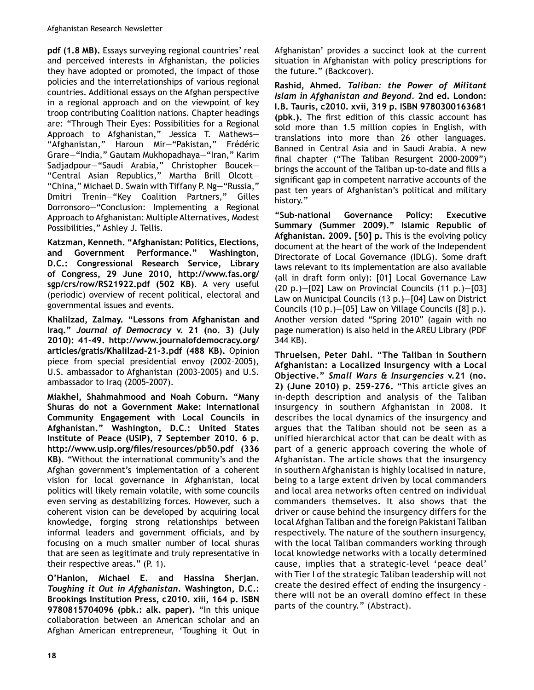**pdf (1.8 MB).** Essays surveying regional countries' real and perceived interests in Afghanistan, the policies they have adopted or promoted, the impact of those policies and the interrelationships of various regional countries. Additional essays on the Afghan perspective in a regional approach and on the viewpoint of key troop contributing Coalition nations. Chapter headings are: "Through Their Eyes: Possibilities for a Regional Approach to Afghanistan," Jessica T. Mathews— "Afghanistan," Haroun Mir—"Pakistan," Frédéric Grare—"India," Gautam Mukhopadhaya—"Iran," Karim Sadjadpour—"Saudi Arabia," Christopher Boucek— "Central Asian Republics," Martha Brill Olcott— "China," Michael D. Swain with Tiffany P. Ng—"Russia," Dmitri Trenin—"Key Coalition Partners," Gilles Dorronsoro—"Conclusion: Implementing a Regional Approach to Afghanistan: Multiple Alternatives, Modest Possibilities," Ashley J. Tellis.

**Katzman, Kenneth. "Afghanistan: Politics, Elections, and Government Performance." Washington, D.C.: Congressional Research Service, Library of Congress, 29 June 2010, http://www.fas.org/ sgp/crs/row/RS21922.pdf (502 KB)**. A very useful (periodic) overview of recent political, electoral and governmental issues and events.

**Khalilzad, Zalmay. "Lessons from Afghanistan and**  Iraq." Journal of Democracy v. 21 (no. 3) (July 2010): 41-49. http://www.journalofdemocracy.org/ articles/gratis/Khalilzad-21-3.pdf (488 KB). Opinion piece from special presidential envoy (2002–2005), U.S. ambassador to Afghanistan (2003-2005) and U.S. ambassador to Iraq (2005–2007).

**Miakhel, Shahmahmood and Noah Coburn. "Many Shuras do not a Government Make: International Community Engagement with Local Councils in Afghanistan." Washington, D.C.: United States Institute of Peace (USIP), 7 September 2010. 6 p.**  http://www.usip.org/files/resources/pb50.pdf (336 KB). "Without the international community's and the Afghan government's implementation of a coherent vision for local governance in Afghanistan, local politics will likely remain volatile, with some councils even serving as destabilizing forces. However, such a coherent vision can be developed by acquiring local knowledge, forging strong relationships between informal leaders and government officials, and by focusing on a much smaller number of local shuras that are seen as legitimate and truly representative in their respective areas." (P. 1).

**O'Hanlon, Michael E. and Hassina Sherjan.**  *Toughing it Out in Afghanistan***. Washington, D.C.: Brookings Institution Press, c2010. xiii, 164 p. ISBN 9780815704096 (pbk.: alk. paper).** "In this unique collaboration between an American scholar and an Afghan American entrepreneur, 'Toughing it Out in

Afghanistan' provides a succinct look at the current situation in Afghanistan with policy prescriptions for the future." (Backcover).

Rashid, Ahmed. *Taliban: the Power of Militant Islam in Afghanistan and Beyond. 2nd ed. London:* **I.B. Tauris, c2010. xvii, 319 p. ISBN 9780300163681 (pbk.).** The first edition of this classic account has sold more than 1.5 million copies in English, with translations into more than 26 other languages. Banned in Central Asia and in Saudi Arabia. A new final chapter ("The Taliban Resurgent 2000-2009") brings the account of the Taliban up-to-date and fills a significant gap in competent narrative accounts of the past ten years of Afghanistan's political and military history."

"Sub-national Governance Policy: Executive **Summary (Summer 2009)." Islamic Republic of Afghanistan. 2009. [50] p.** This is the evolving policy document at the heart of the work of the Independent Directorate of Local Governance (IDLG). Some draft laws relevant to its implementation are also available (all in draft form only): [01] Local Governance Law  $(20 p.) - [02]$  Law on Provincial Councils  $(11 p.) - [03]$ Law on Municipal Councils  $(13 p.)-[04]$  Law on District Councils (10 p.)—[05] Law on Village Councils ([8] p.). Another version dated "Spring 2010" (again with no page numeration) is also held in the AREU Library (PDF 344 KB).

**Thruelsen, Peter Dahl. "The Taliban in Southern Afghanistan: a Localized Insurgency with a Local Objective."** Small Wars & Insurgencies v.21 (no. **2) (June 2010) p. 259-276.** "This article gives an in-depth description and analysis of the Taliban insurgency in southern Afghanistan in 2008. It describes the local dynamics of the insurgency and argues that the Taliban should not be seen as a unified hierarchical actor that can be dealt with as part of a generic approach covering the whole of Afghanistan. The article shows that the insurgency in southern Afghanistan is highly localised in nature, being to a large extent driven by local commanders and local area networks often centred on individual commanders themselves. It also shows that the driver or cause behind the insurgency differs for the local Afghan Taliban and the foreign Pakistani Taliban respectively. The nature of the southern insurgency, with the local Taliban commanders working through local knowledge networks with a locally determined cause, implies that a strategic-level 'peace deal' with Tier I of the strategic Taliban leadership will not create the desired effect of ending the insurgency – there will not be an overall domino effect in these parts of the country." (Abstract).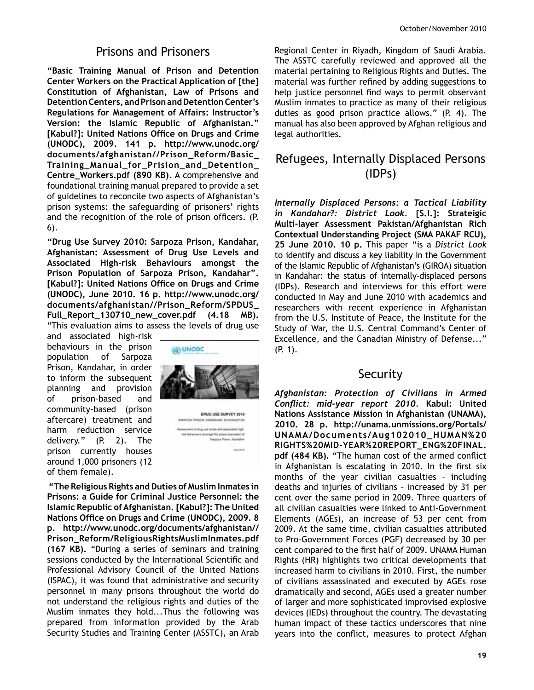### Prisons and Prisoners

**"Basic Training Manual of Prison and Detention Center Workers on the Practical Application of [the] Constitution of Afghanistan, Law of Prisons and Detention Centers, and Prison and Detention Center's Regulations for Management of Affairs: Instructor's Version: the Islamic Republic of Afghanistan."**  [Kabul?]: United Nations Office on Drugs and Crime **(UNODC), 2009. 141 p. http://www.unodc.org/** documents/afghanistan//Prison\_Reform/Basic\_ Training\_Manual\_for\_Prision\_and\_Detention\_ **Centre\_Workers.pdf (890 KB).** A comprehensive and foundational training manual prepared to provide a set of guidelines to reconcile two aspects of Afghanistan's prison systems: the safeguarding of prisoners' rights and the recognition of the role of prison officers. (P.  $6$ ).

**"Drug Use Survey 2010: Sarpoza Prison, Kandahar, Afghanistan: Assessment of Drug Use Levels and**  Associated High-risk Behaviours amongst the **Prison Population of Sarpoza Prison, Kandahar". [Kabul?]: United Nations Office on Drugs and Crime (UNODC), June 2010. 16 p. http://www.unodc.org/** documents/afghanistan//Prison\_Reform/SPDUS\_ Full\_Report\_130710\_new\_cover.pdf (4.18 MB). "This evaluation aims to assess the levels of drug use

and associated high-risk behaviours in the prison population of Sarpoza Prison, Kandahar, in order to inform the subsequent planning and provision of prison-based and community-based (prison aftercare) treatment and harm reduction service delivery." (P. 2). The prison currently houses around 1,000 prisoners (12 of them female).



**"The Religious Rights and Duties of Muslim Inmates in Prisons: a Guide for Criminal Justice Personnel: the Islamic Republic of Afghanistan. [Kabul?]: The United**  Nations Office on Drugs and Crime (UNODC), 2009. 8 **p. http://www.unodc.org/documents/afghanistan//** Prison\_Reform/ReligiousRightsMuslimInmates.pdf **(167 KB).** "During a series of seminars and training sessions conducted by the International Scientific and Professional Advisory Council of the United Nations (ISPAC), it was found that administrative and security personnel in many prisons throughout the world do not understand the religious rights and duties of the Muslim inmates they hold...Thus the following was prepared from information provided by the Arab Security Studies and Training Center (ASSTC), an Arab

Regional Center in Riyadh, Kingdom of Saudi Arabia. The ASSTC carefully reviewed and approved all the material pertaining to Religious Rights and Duties. The material was further refined by adding suggestions to help justice personnel find ways to permit observant Muslim inmates to practice as many of their religious duties as good prison practice allows." (P. 4). The manual has also been approved by Afghan religious and legal authorities.

# Refugees, Internally Displaced Persons (IDPs)

Internally Displaced Persons: a Tactical Liability *in Kandahar*?: District Look. [S.l.]: Strateigic **Multi-layer Assessment Pakistan/Afghanistan Rich Contextual Understanding Project (SMA PAKAF RCU), 25 June 2010. 10 p.** This paper "is a *District Look* to identify and discuss a key liability in the Government of the Islamic Republic of Afghanistan's (GIROA) situation in Kandahar: the status of internally-displaced persons (IDPs). Research and interviews for this effort were conducted in May and June 2010 with academics and researchers with recent experience in Afghanistan from the U.S. Institute of Peace, the Institute for the Study of War, the U.S. Central Command's Center of Excellence, and the Canadian Ministry of Defense..." (P. 1).

### Security

Afghanistan: Protection of Civilians in Armed *Conflict: mid-year report 2010. Kabul: United* **Nations Assistance Mission in Afghanistan (UNAMA), 2010. 28 p. http://unama.unmissions.org/Portals/** UNAMA/Documents/Aug102010\_HUMAN%20 RIGHTS%20MID-YEAR%20REPORT\_ENG%20FINAL. pdf (484 KB). "The human cost of the armed conflict in Afghanistan is escalating in 2010. In the first six months of the year civilian casualties – including deaths and injuries of civilians - increased by 31 per cent over the same period in 2009. Three quarters of all civilian casualties were linked to Anti-Government Elements (AGEs), an increase of 53 per cent from 2009. At the same time, civilian casualties attributed to Pro-Government Forces (PGF) decreased by 30 per cent compared to the first half of 2009. UNAMA Human Rights (HR) highlights two critical developments that increased harm to civilians in 2010. First, the number of civilians assassinated and executed by AGEs rose dramatically and second, AGEs used a greater number of larger and more sophisticated improvised explosive devices (IEDs) throughout the country. The devastating human impact of these tactics underscores that nine years into the conflict, measures to protect Afghan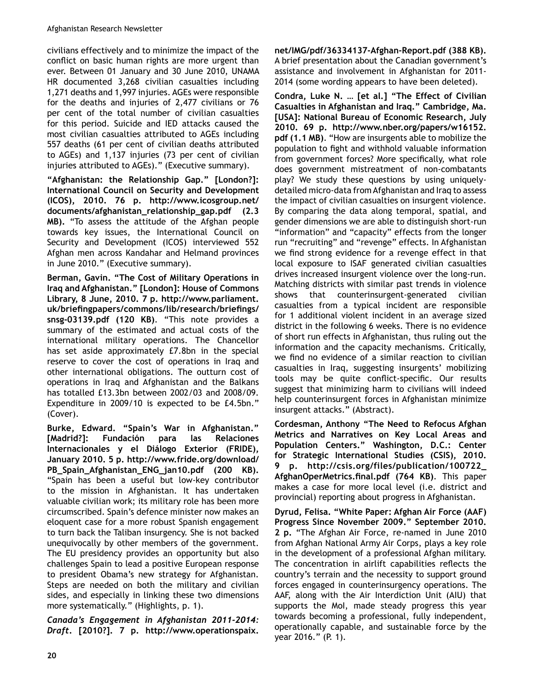civilians effectively and to minimize the impact of the conflict on basic human rights are more urgent than ever. Between 01 January and 30 June 2010, UNAMA HR documented 3,268 civilian casualties including 1,271 deaths and 1,997 injuries. AGEs were responsible for the deaths and injuries of  $2,477$  civilians or 76 per cent of the total number of civilian casualties for this period. Suicide and IED attacks caused the most civilian casualties attributed to AGEs including 557 deaths (61 per cent of civilian deaths attributed to AGEs) and  $1,137$  injuries (73 per cent of civilian injuries attributed to AGEs)." (Executive summary).

**"Afghanistan: the Relationship Gap." [London?]: International Council on Security and Development (ICOS), 2010. 76 p. http://www.icosgroup.net/** documents/afghanistan\_relationship\_gap.pdf (2.3 **MB).** "To assess the attitude of the Afghan people towards key issues, the International Council on Security and Development (ICOS) interviewed 552 Afghan men across Kandahar and Helmand provinces in June 2010." (Executive summary).

**Berman, Gavin. "The Cost of Military Operations in Iraq and Afghanistan." [London]: House of Commons Library, 8 June, 2010. 7 p. http://www.parliament.** uk/briefingpapers/commons/lib/research/briefings/ snsg-03139.pdf (120 KB). "This note provides a summary of the estimated and actual costs of the international military operations. The Chancellor has set aside approximately £7.8bn in the special reserve to cover the cost of operations in Iraq and other international obligations. The outturn cost of operations in Iraq and Afghanistan and the Balkans has totalled £13.3bn between 2002/03 and 2008/09. Expenditure in 2009/10 is expected to be £4.5bn." (Cover).

**Burke, Edward. "Spain's War in Afghanistan." [Madrid?]: Fundación para las Relaciones Internacionales y el Diálogo Exterior (FRIDE), January 2010. 5 p. http://www.fride.org/download/** PB\_Spain\_Afghanistan\_ENG\_jan10.pdf (200 KB). "Spain has been a useful but low-key contributor to the mission in Afghanistan. It has undertaken valuable civilian work; its military role has been more circumscribed. Spain's defence minister now makes an eloquent case for a more robust Spanish engagement to turn back the Taliban insurgency. She is not backed unequivocally by other members of the government. The EU presidency provides an opportunity but also challenges Spain to lead a positive European response to president Obama's new strategy for Afghanistan. Steps are needed on both the military and civilian sides, and especially in linking these two dimensions more systematically." (Highlights, p. 1).

Canada's Engagement in Afghanistan 2011-2014: *'UDIW***. [2010?]. 7 p. http://www.operationspaix.**

net/IMG/pdf/36334137-Afghan-Report.pdf (388 KB). A brief presentation about the Canadian government's assistance and involvement in Afghanistan for 2011-2014 (some wording appears to have been deleted).

**Condra, Luke N. … [et al.] "The Effect of Civilian Casualties in Afghanistan and Iraq." Cambridge, Ma. [USA]: National Bureau of Economic Research, July 2010. 69 p. http://www.nber.org/papers/w16152. pdf (1.1 MB)**. "How are insurgents able to mobilize the population to fight and withhold valuable information from government forces? More specifically, what role does government mistreatment of non-combatants play? We study these questions by using uniquelydetailed micro-data from Afghanistan and Iraq to assess the impact of civilian casualties on insurgent violence. By comparing the data along temporal, spatial, and gender dimensions we are able to distinguish short-run "information" and "capacity" effects from the longer run "recruiting" and "revenge" effects. In Afghanistan we find strong evidence for a revenge effect in that local exposure to ISAF generated civilian casualties drives increased insurgent violence over the long-run. Matching districts with similar past trends in violence shows that counterinsurgent-generated civilian casualties from a typical incident are responsible for 1 additional violent incident in an average sized district in the following 6 weeks. There is no evidence of short run effects in Afghanistan, thus ruling out the information and the capacity mechanisms. Critically, we find no evidence of a similar reaction to civilian casualties in Iraq, suggesting insurgents' mobilizing tools may be quite conflict-specific. Our results suggest that minimizing harm to civilians will indeed help counterinsurgent forces in Afghanistan minimize insurgent attacks." (Abstract).

**Cordesman, Anthony "The Need to Refocus Afghan Metrics and Narratives on Key Local Areas and Population Centers." Washington, D.C.: Center for Strategic International Studies (CSIS), 2010. 9** p. http://csis.org/files/publication/100722 AfghanOperMetrics.final.pdf (764 KB). This paper makes a case for more local level (i.e. district and provincial) reporting about progress in Afghanistan.

**Dyrud, Felisa. "White Paper: Afghan Air Force (AAF) Progress Since November 2009." September 2010.**  2 p. "The Afghan Air Force, re-named in June 2010 from Afghan National Army Air Corps, plays a key role in the development of a professional Afghan military. The concentration in airlift capabilities reflects the country's terrain and the necessity to support ground forces engaged in counterinsurgency operations. The AAF, along with the Air Interdiction Unit (AIU) that supports the MoI, made steady progress this year towards becoming a professional, fully independent, operationally capable, and sustainable force by the year 2016." (P. 1).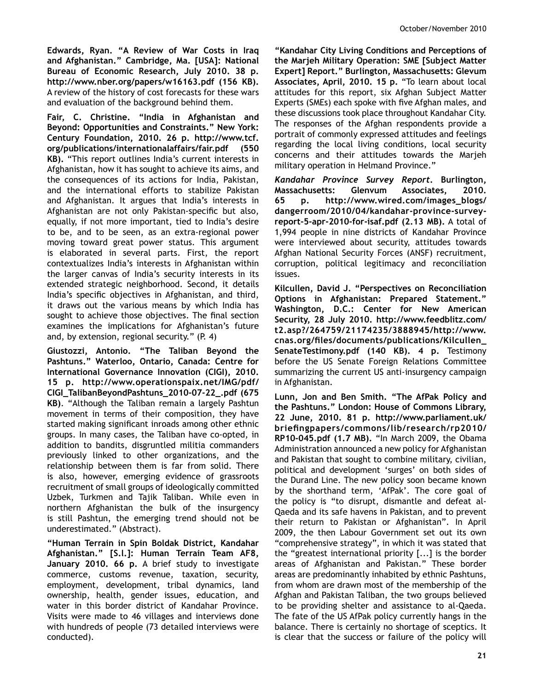**Edwards, Ryan. "A Review of War Costs in Iraq and Afghanistan." Cambridge, Ma. [USA]: National Bureau of Economic Research, July 2010. 38 p. http://www.nber.org/papers/w16163.pdf (156 KB).** A review of the history of cost forecasts for these wars and evaluation of the background behind them.

**Fair, C. Christine. "India in Afghanistan and Beyond: Opportunities and Constraints." New York: Century Foundation, 2010. 26 p. http://www.tcf. org/publications/internationalaffairs/fair.pdf (550 KB).** "This report outlines India's current interests in Afghanistan, how it has sought to achieve its aims, and the consequences of its actions for India, Pakistan, and the international efforts to stabilize Pakistan and Afghanistan. It argues that India's interests in Afghanistan are not only Pakistan-specific but also, equally, if not more important, tied to India's desire to be, and to be seen, as an extra-regional power moving toward great power status. This argument is elaborated in several parts. First, the report contextualizes India's interests in Afghanistan within the larger canvas of India's security interests in its extended strategic neighborhood. Second, it details India's specific objectives in Afghanistan, and third, it draws out the various means by which India has sought to achieve those objectives. The final section examines the implications for Afghanistan's future and, by extension, regional security." (P. 4)

**Giustozzi, Antonio. "The Taliban Beyond the Pashtuns." Waterloo, Ontario, Canada: Centre for International Governance Innovation (CIGI), 2010. 15 p. http://www.operationspaix.net/IMG/pdf/**  $CIGL$ TalibanBeyondPashtuns\_2010-07-22\_.pdf (675 **KB)**. "Although the Taliban remain a largely Pashtun movement in terms of their composition, they have started making significant inroads among other ethnic groups. In many cases, the Taliban have co-opted, in addition to bandits, disgruntled militia commanders previously linked to other organizations, and the relationship between them is far from solid. There is also, however, emerging evidence of grassroots recruitment of small groups of ideologically committed Uzbek, Turkmen and Tajik Taliban. While even in northern Afghanistan the bulk of the insurgency is still Pashtun, the emerging trend should not be underestimated." (Abstract).

**"Human Terrain in Spin Boldak District, Kandahar Afghanistan." [S.l.]: Human Terrain Team AF8, January 2010. 66 p.** A brief study to investigate commerce, customs revenue, taxation, security, employment, development, tribal dynamics, land ownership, health, gender issues, education, and water in this border district of Kandahar Province. Visits were made to 46 villages and interviews done with hundreds of people (73 detailed interviews were conducted).

**"Kandahar City Living Conditions and Perceptions of the Marjeh Military Operation: SME [Subject Matter Expert] Report." Burlington, Massachusetts: Glevum Associates, April, 2010. 15 p.** "To learn about local attitudes for this report, six Afghan Subject Matter Experts (SMEs) each spoke with five Afghan males, and these discussions took place throughout Kandahar City. The responses of the Afghan respondents provide a portrait of commonly expressed attitudes and feelings regarding the local living conditions, local security concerns and their attitudes towards the Marjeh military operation in Helmand Province."

Kandahar Province Survey Report, Burlington, **Massachusetts: Glenvum Associates, 2010.**  65 p. http://www.wired.com/images\_blogs/ dangerroom/2010/04/kandahar-province-surveyreport-5-apr-2010-for-isaf.pdf (2.13 MB). A total of 1,994 people in nine districts of Kandahar Province were interviewed about security, attitudes towards Afghan National Security Forces (ANSF) recruitment, corruption, political legitimacy and reconciliation issues.

**Kilcullen, David J. "Perspectives on Reconciliation Options in Afghanistan: Prepared Statement." Washington, D.C.: Center for New American Security, 28 July 2010. http://www.feedblitz.com/ t2.asp?/264759/21174235/3888945/http://www.**  $c$ nas.org/files/documents/publications/Kilcullen\_ **SenateTestimony.pdf (140 KB). 4 p.** Testimony before the US Senate Foreign Relations Committee summarizing the current US anti-insurgency campaign in Afghanistan.

**Lunn, Jon and Ben Smith. "The AfPak Policy and the Pashtuns." London: House of Commons Library, 22 June, 2010. 81 p. http://www.parliament.uk/** briefingpapers/commons/lib/research/rp2010/ **RP10-045.pdf (1.7 MB).** "In March 2009, the Obama Administration announced a new policy for Afghanistan and Pakistan that sought to combine military, civilian, political and development 'surges' on both sides of the Durand Line. The new policy soon became known by the shorthand term, 'AfPak'. The core goal of the policy is "to disrupt, dismantle and defeat al-Qaeda and its safe havens in Pakistan, and to prevent their return to Pakistan or Afghanistan". In April 2009, the then Labour Government set out its own "comprehensive strategy", in which it was stated that the "greatest international priority [...] is the border areas of Afghanistan and Pakistan." These border areas are predominantly inhabited by ethnic Pashtuns, from whom are drawn most of the membership of the Afghan and Pakistan Taliban, the two groups believed to be providing shelter and assistance to al-Qaeda. The fate of the US AfPak policy currently hangs in the balance. There is certainly no shortage of sceptics. It is clear that the success or failure of the policy will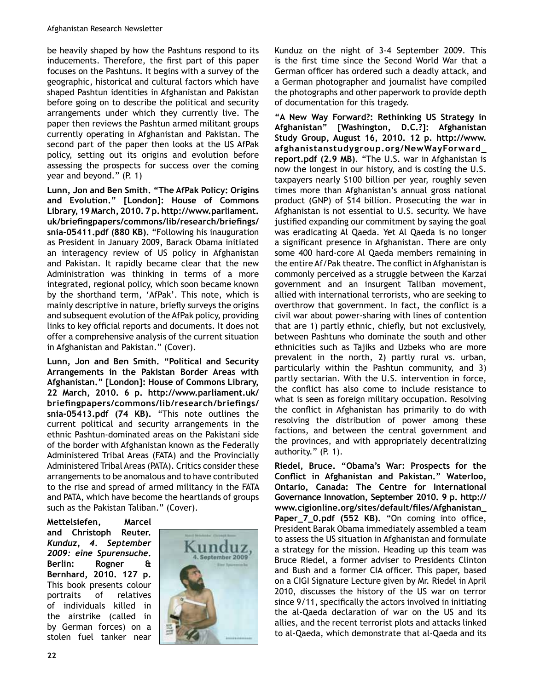be heavily shaped by how the Pashtuns respond to its inducements. Therefore, the first part of this paper focuses on the Pashtuns. It begins with a survey of the geographic, historical and cultural factors which have shaped Pashtun identities in Afghanistan and Pakistan before going on to describe the political and security arrangements under which they currently live. The paper then reviews the Pashtun armed militant groups currently operating in Afghanistan and Pakistan. The second part of the paper then looks at the US AfPak policy, setting out its origins and evolution before assessing the prospects for success over the coming year and beyond." (P. 1)

**Lunn, Jon and Ben Smith. "The AfPak Policy: Origins and Evolution." [London]: House of Commons Library, 19 March, 2010. 7 p. http://www.parliament.** uk/briefingpapers/commons/lib/research/briefings/ snia-05411.pdf (880 KB). "Following his inauguration as President in January 2009, Barack Obama initiated an interagency review of US policy in Afghanistan and Pakistan. It rapidly became clear that the new Administration was thinking in terms of a more integrated, regional policy, which soon became known by the shorthand term, 'AfPak'. This note, which is mainly descriptive in nature, briefly surveys the origins and subsequent evolution of the AfPak policy, providing links to key official reports and documents. It does not offer a comprehensive analysis of the current situation in Afghanistan and Pakistan." (Cover).

**Lunn, Jon and Ben Smith. "Political and Security Arrangements in the Pakistan Border Areas with Afghanistan." [London]: House of Commons Library, 22 March, 2010. 6 p. http://www.parliament.uk/ briefingpapers/commons/lib/research/briefings/** snia-05413.pdf (74 KB). "This note outlines the current political and security arrangements in the ethnic Pashtun-dominated areas on the Pakistani side of the border with Afghanistan known as the Federally Administered Tribal Areas (FATA) and the Provincially Administered Tribal Areas (PATA). Critics consider these arrangements to be anomalous and to have contributed to the rise and spread of armed militancy in the FATA and PATA, which have become the heartlands of groups such as the Pakistan Taliban." (Cover).

**Mettelsiefen, Marcel and Christoph Reuter.**  Kunduz, 4. September **2009: eine Spurensuche. Berlin: Rogner & Bernhard, 2010. 127 p.** This book presents colour portraits of relatives of individuals killed in the airstrike (called in by German forces) on a stolen fuel tanker near



Kunduz on the night of 3-4 September 2009. This is the first time since the Second World War that a German officer has ordered such a deadly attack, and a German photographer and journalist have compiled the photographs and other paperwork to provide depth of documentation for this tragedy.

**"A New Way Forward?: Rethinking US Strategy in Afghanistan" [Washington, D.C.?]: Afghanistan Study Group, August 16, 2010. 12 p. http://www.**  $\alpha$ fghanistanstudygroup.org/NewWayForward\_ **report.pdf (2.9 MB)**. "The U.S. war in Afghanistan is now the longest in our history, and is costing the U.S. taxpayers nearly \$100 billion per year, roughly seven times more than Afghanistan's annual gross national product (GNP) of \$14 billion. Prosecuting the war in Afghanistan is not essential to U.S. security. We have justified expanding our commitment by saying the goal was eradicating Al Qaeda. Yet Al Qaeda is no longer a significant presence in Afghanistan. There are only some 400 hard-core Al Qaeda members remaining in the entire Af/Pak theatre. The conflict in Afghanistan is commonly perceived as a struggle between the Karzai government and an insurgent Taliban movement, allied with international terrorists, who are seeking to overthrow that government. In fact, the conflict is a civil war about power-sharing with lines of contention that are 1) partly ethnic, chiefly, but not exclusively, between Pashtuns who dominate the south and other ethnicities such as Tajiks and Uzbeks who are more prevalent in the north, 2) partly rural vs. urban, particularly within the Pashtun community, and 3) partly sectarian. With the U.S. intervention in force, the conflict has also come to include resistance to what is seen as foreign military occupation. Resolving the conflict in Afghanistan has primarily to do with resolving the distribution of power among these factions, and between the central government and the provinces, and with appropriately decentralizing authority." (P. 1).

**Riedel, Bruce. "Obama's War: Prospects for the**  Conflict in Afghanistan and Pakistan." Waterloo, **Ontario, Canada: The Centre for International Governance Innovation, September 2010. 9 p. http://** www.cigionline.org/sites/default/files/Afghanistan\_ Paper\_7\_0.pdf (552 KB). "On coming into office, President Barak Obama immediately assembled a team to assess the US situation in Afghanistan and formulate a strategy for the mission. Heading up this team was Bruce Riedel, a former adviser to Presidents Clinton and Bush and a former CIA officer. This paper, based on a CIGI Signature Lecture given by Mr. Riedel in April 2010, discusses the history of the US war on terror since 9/11, specifically the actors involved in initiating the al-Qaeda declaration of war on the US and its allies, and the recent terrorist plots and attacks linked to al-Qaeda, which demonstrate that al-Qaeda and its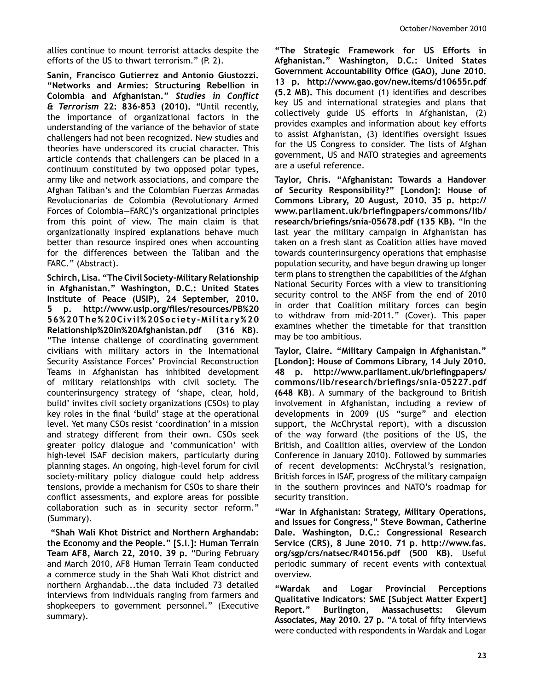allies continue to mount terrorist attacks despite the efforts of the US to thwart terrorism." (P. 2).

**Sanin, Francisco Gutierrez and Antonio Giustozzi. "Networks and Armies: Structuring Rebellion in Colombia and Afghanistan." Studies in Conflict** *& Terrorism 22: 836-853 (2010).* "Until recently, the importance of organizational factors in the understanding of the variance of the behavior of state challengers had not been recognized. New studies and theories have underscored its crucial character. This article contends that challengers can be placed in a continuum constituted by two opposed polar types, army like and network associations, and compare the Afghan Taliban's and the Colombian Fuerzas Armadas Revolucionarias de Colombia (Revolutionary Armed Forces of Colombia—FARC)'s organizational principles from this point of view. The main claim is that organizationally inspired explanations behave much better than resource inspired ones when accounting for the differences between the Taliban and the FARC." (Abstract).

Schirch, Lisa. "The Civil Society-Military Relationship **in Afghanistan." Washington, D.C.: United States Institute of Peace (USIP), 24 September, 2010.**  5 p. http://www.usip.org/files/resources/PB%20 **56%20The%20Civil%20SocietySMilitary%20 Relationship%20in%20Afghanistan.pdf (316 KB)**. "The intense challenge of coordinating government civilians with military actors in the International Security Assistance Forces' Provincial Reconstruction Teams in Afghanistan has inhibited development of military relationships with civil society. The counterinsurgency strategy of 'shape, clear, hold, build' invites civil society organizations (CSOs) to play key roles in the final 'build' stage at the operational level. Yet many CSOs resist 'coordination' in a mission and strategy different from their own. CSOs seek greater policy dialogue and 'communication' with high-level ISAF decision makers, particularly during planning stages. An ongoing, high-level forum for civil society-military policy dialogue could help address tensions, provide a mechanism for CSOs to share their conflict assessments, and explore areas for possible collaboration such as in security sector reform." (Summary).

**"Shah Wali Khot District and Northern Arghandab: the Economy and the People." [S.l.]: Human Terrain Team AF8, March 22, 2010. 39 p.** "During February and March 2010, AF8 Human Terrain Team conducted a commerce study in the Shah Wali Khot district and northern Arghandab...the data included 73 detailed interviews from individuals ranging from farmers and shopkeepers to government personnel." (Executive summary).

**"The Strategic Framework for US Efforts in Afghanistan." Washington, D.C.: United States**  Government Accountability Office (GAO), June 2010. **13 p. http://www.gao.gov/new.items/d10655r.pdf (5.2 MB).** This document (1) identifies and describes key US and international strategies and plans that collectively guide US efforts in Afghanistan, (2) provides examples and information about key efforts to assist Afghanistan, (3) identifies oversight issues for the US Congress to consider. The lists of Afghan government, US and NATO strategies and agreements are a useful reference.

**Taylor, Chris. "Afghanistan: Towards a Handover of Security Responsibility?" [London]: House of Commons Library, 20 August, 2010. 35 p. http://** www.parliament.uk/briefingpapers/commons/lib/ research/briefings/snia-05678.pdf (135 KB). "In the last year the military campaign in Afghanistan has taken on a fresh slant as Coalition allies have moved towards counterinsurgency operations that emphasise population security, and have begun drawing up longer term plans to strengthen the capabilities of the Afghan National Security Forces with a view to transitioning security control to the ANSF from the end of 2010 in order that Coalition military forces can begin to withdraw from mid-2011." (Cover). This paper examines whether the timetable for that transition may be too ambitious.

**Taylor, Claire. "Military Campaign in Afghanistan." [London]: House of Commons Library, 14 July 2010.**  48 p. http://www.parliament.uk/briefingpapers/ commons/lib/research/briefings/snia-05227.pdf **(648 KB)**. A summary of the background to British involvement in Afghanistan, including a review of developments in 2009 (US "surge" and election support, the McChrystal report), with a discussion of the way forward (the positions of the US, the British, and Coalition allies, overview of the London Conference in January 2010). Followed by summaries of recent developments: McChrystal's resignation, British forces in ISAF, progress of the military campaign in the southern provinces and NATO's roadmap for security transition.

**"War in Afghanistan: Strategy, Military Operations, and Issues for Congress," Steve Bowman, Catherine Dale. Washington, D.C.: Congressional Research Service (CRS), 8 June 2010. 71 p. http://www.fas. org/sgp/crs/natsec/R40156.pdf (500 KB).** Useful periodic summary of recent events with contextual overview.

**"Wardak and Logar Provincial Perceptions Qualitative Indicators: SME [Subject Matter Expert] Report." Burlington, Massachusetts: Glevum**  Associates, May 2010. 27 p. "A total of fifty interviews were conducted with respondents in Wardak and Logar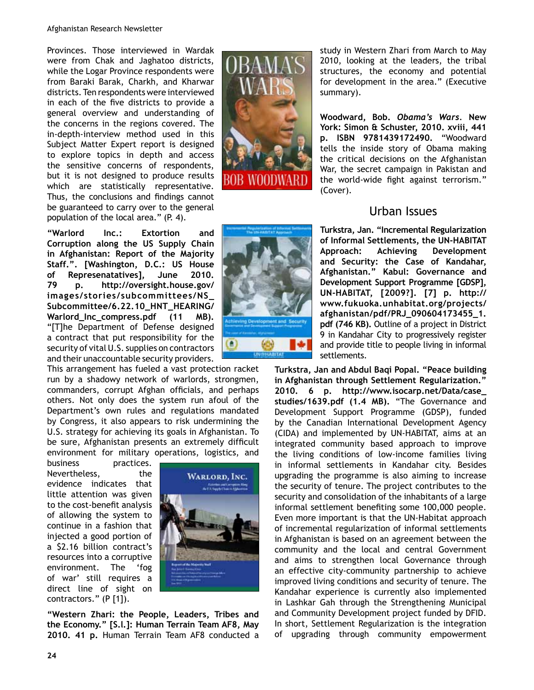Provinces. Those interviewed in Wardak were from Chak and Jaghatoo districts, while the Logar Province respondents were from Baraki Barak, Charkh, and Kharwar districts. Ten respondents were interviewed in each of the five districts to provide a general overview and understanding of the concerns in the regions covered. The in-depth-interview method used in this Subject Matter Expert report is designed to explore topics in depth and access the sensitive concerns of respondents, but it is not designed to produce results which are statistically representative. Thus, the conclusions and findings cannot be guaranteed to carry over to the general population of the local area." (P. 4).

**"Warlord Inc.: Extortion and Corruption along the US Supply Chain in Afghanistan: Report of the Majority Staff.". [Washington, D.C.: US House of Represenatatives], June 2010. 79 p. http://oversight.house.gov/** images/stories/subcommittees/NS\_ Subcommittee/6.22.10\_HNT\_HEARING/ Warlord\_Inc\_compress.pdf (11 MB). "[T]he Department of Defense designed a contract that put responsibility for the security of vital U.S. supplies on contractors and their unaccountable security providers.

This arrangement has fueled a vast protection racket run by a shadowy network of warlords, strongmen, commanders, corrupt Afghan officials, and perhaps others. Not only does the system run afoul of the Department's own rules and regulations mandated by Congress, it also appears to risk undermining the U.S. strategy for achieving its goals in Afghanistan. To be sure, Afghanistan presents an extremely difficult environment for military operations, logistics, and

business practices. Nevertheless. the evidence indicates that little attention was given to the cost-benefit analysis of allowing the system to continue in a fashion that injected a good portion of a \$2.16 billion contract's resources into a corruptive environment. The 'fog of war' still requires a direct line of sight on contractors." (P [1]).



**"Western Zhari: the People, Leaders, Tribes and the Economy." [S.l.]: Human Terrain Team AF8, May 2010. 41 p.** Human Terrain Team AF8 conducted a





study in Western Zhari from March to May 2010, looking at the leaders, the tribal structures, the economy and potential for development in the area." (Executive summary).

**Woodward, Bob. Obama's Wars. New York: Simon & Schuster, 2010. xviii, 441 p. ISBN 9781439172490. "Woodward** tells the inside story of Obama making the critical decisions on the Afghanistan War, the secret campaign in Pakistan and the world-wide fight against terrorism." (Cover).

# Urban Issues

**Turkstra, Jan. "Incremental Regularization**  of Informal Settlements, the UN-HABITAT **Approach: Achieving Development and Security: the Case of Kandahar, Afghanistan." Kabul: Governance and Development Support Programme [GDSP], UNSHABITAT, [2009?]. [7] p. http:// www.fukuoka.unhabitat.org/projects/** afghanistan/pdf/PRJ\_090604173455\_1. **pdf (746 KB).** Outline of a project in District 9 in Kandahar City to progressively register and provide title to people living in informal settlements.

**Turkstra, Jan and Abdul Baqi Popal. "Peace building in Afghanistan through Settlement Regularization."**  2010. 6 p. http://www.isocarp.net/Data/case\_ **studies/1639.pdf (1.4 MB).** "The Governance and Development Support Programme (GDSP), funded by the Canadian International Development Agency (CIDA) and implemented by UN-HABITAT, aims at an integrated community based approach to improve the living conditions of low-income families living in informal settlements in Kandahar city. Besides upgrading the programme is also aiming to increase the security of tenure. The project contributes to the security and consolidation of the inhabitants of a large informal settlement benefiting some 100,000 people. Even more important is that the UN-Habitat approach of incremental regularization of informal settlements in Afghanistan is based on an agreement between the community and the local and central Government and aims to strengthen local Governance through an effective city-community partnership to achieve improved living conditions and security of tenure. The Kandahar experience is currently also implemented in Lashkar Gah through the Strengthening Municipal and Community Development project funded by DFID. In short, Settlement Regularization is the integration of upgrading through community empowerment